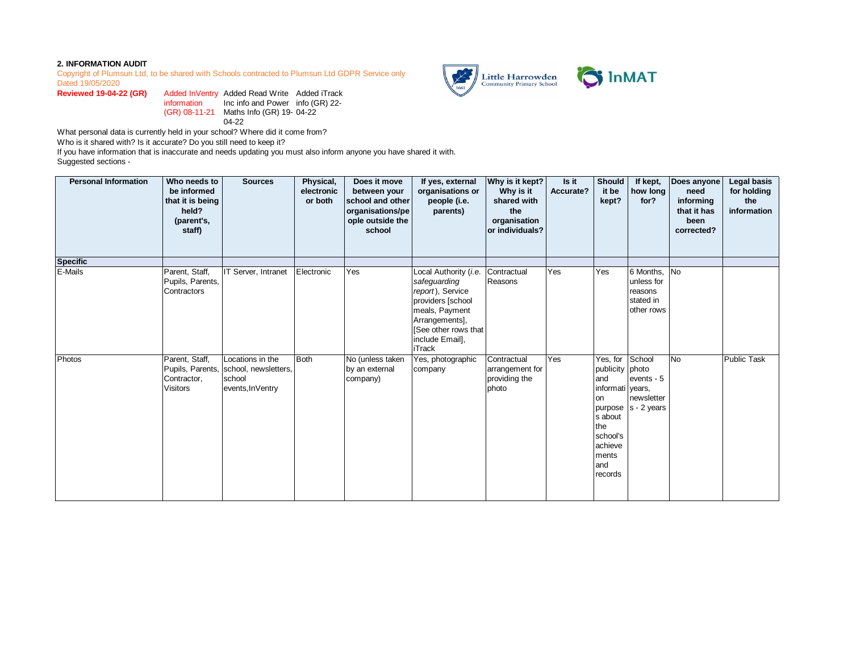## **2. INFORMATION AUDIT**

Copyright of Plumsun Ltd, to be shared with Schools contracted to Plumsun Ltd GDPR Service only Dated 19/05/2020

**Reviewed 19-04-22 (GR)** information (GR) 08-11-21 Maths Info (GR) 19- 04-22 Added Read Write Added iTrack Inc info and Power info (GR) 22- 04-22

What personal data is currently held in your school? Where did it come from?

Who is it shared with? Is it accurate? Do you still need to keep it?

If you have information that is inaccurate and needs updating you must also inform anyone you have shared it with. Suggested sections -

| <b>Personal Information</b> | Who needs to<br>be informed<br>that it is being<br>held?<br>(parent's,<br>staff) | <b>Sources</b>                                                                          | Physical,<br>electronic<br>or both | Does it move<br>between your<br>school and other<br>organisations/pe<br>ople outside the<br>school | If yes, external<br>organisations or<br>people (i.e.<br>parents)                                                                                                               | Why is it kept?<br>Why is it<br>shared with<br>the<br>organisation<br>or individuals? | Is it<br>Accurate? | Should<br>it be<br>kept?                                                                                                          | If kept,<br>how long<br>for?                                     | Does anyone<br>need<br>informing<br>that it has<br>been<br>corrected? | Legal basis<br>for holding<br>the<br>information |
|-----------------------------|----------------------------------------------------------------------------------|-----------------------------------------------------------------------------------------|------------------------------------|----------------------------------------------------------------------------------------------------|--------------------------------------------------------------------------------------------------------------------------------------------------------------------------------|---------------------------------------------------------------------------------------|--------------------|-----------------------------------------------------------------------------------------------------------------------------------|------------------------------------------------------------------|-----------------------------------------------------------------------|--------------------------------------------------|
| <b>Specific</b>             |                                                                                  |                                                                                         |                                    |                                                                                                    |                                                                                                                                                                                |                                                                                       |                    |                                                                                                                                   |                                                                  |                                                                       |                                                  |
| E-Mails                     | Parent, Staff,<br>Pupils, Parents,<br>Contractors                                | IT Server, Intranet                                                                     | Electronic                         | Yes                                                                                                | Local Authority (i.e.<br>safeguarding<br>report), Service<br>providers [school<br>meals, Payment<br>Arrangements],<br>[See other rows that<br>include Email],<br><b>iTrack</b> | Contractual<br>Reasons                                                                | Yes                | Yes                                                                                                                               | 6 Months, No<br>unless for<br>reasons<br>stated in<br>other rows |                                                                       |                                                  |
| Photos                      | Parent, Staff,<br>Contractor,<br><b>Visitors</b>                                 | Locations in the<br>Pupils, Parents, school, newsletters,<br>school<br>events, InVentry | <b>Both</b>                        | No (unless taken<br>by an external<br>company)                                                     | Yes, photographic<br>company                                                                                                                                                   | Contractual<br>arrangement for<br>providing the<br>photo                              | Yes                | Yes, for<br>publicity photo<br>and<br>informati vears.<br>on<br>s about<br>the<br>school's<br>achieve<br>ments<br>land<br>records | School<br>events - 5<br>newsletter<br>purpose  s - 2 years       | No                                                                    | <b>Public Task</b>                               |

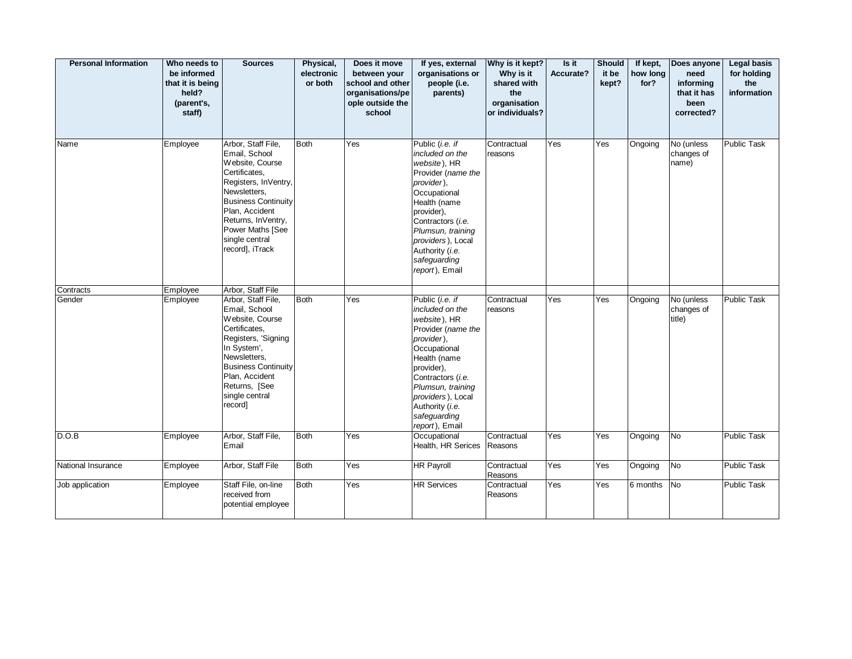| <b>Personal Information</b> | Who needs to<br>be informed<br>that it is being<br>held?<br>(parent's,<br>staff) | <b>Sources</b>                                                                                                                                                                                                                                 | Physical,<br>electronic<br>or both | Does it move<br>between your<br>school and other<br>organisations/pe<br>ople outside the<br>school | If yes, external<br>organisations or<br>people (i.e.<br>parents)                                                                                                                                                                                         | Why is it kept?<br>Why is it<br>shared with<br>the<br>organisation<br>or individuals? | Is it<br>Accurate? | Should<br>it be<br>kept? | If kept,<br>how long<br>for? | Does anyone<br>need<br>informing<br>that it has<br>been<br>corrected? | <b>Legal basis</b><br>for holding<br>the<br>information |
|-----------------------------|----------------------------------------------------------------------------------|------------------------------------------------------------------------------------------------------------------------------------------------------------------------------------------------------------------------------------------------|------------------------------------|----------------------------------------------------------------------------------------------------|----------------------------------------------------------------------------------------------------------------------------------------------------------------------------------------------------------------------------------------------------------|---------------------------------------------------------------------------------------|--------------------|--------------------------|------------------------------|-----------------------------------------------------------------------|---------------------------------------------------------|
| Name                        | Employee                                                                         | Arbor, Staff File,<br>Email, School<br>Website, Course<br>Certificates,<br>Registers, InVentry,<br>Newsletters,<br><b>Business Continuity</b><br>Plan, Accident<br>Returns, InVentry,<br>Power Maths [See<br>single central<br>record], iTrack | <b>Both</b>                        | Yes                                                                                                | Public (i.e. if<br>included on the<br>website), HR<br>Provider (name the<br>provider),<br>Occupational<br>Health (name<br>provider),<br>Contractors (i.e.<br>Plumsun, training<br>providers), Local<br>Authority (i.e.<br>safeguarding<br>report), Email | Contractual<br>reasons                                                                | Yes                | Yes                      | Ongoing                      | No (unless<br>changes of<br>name)                                     | Public Task                                             |
| Contracts                   | Employee                                                                         | Arbor, Staff File                                                                                                                                                                                                                              |                                    |                                                                                                    |                                                                                                                                                                                                                                                          |                                                                                       |                    |                          |                              |                                                                       |                                                         |
| Gender                      | Employee                                                                         | Arbor, Staff File,<br>Email, School<br>Website, Course<br>Certificates,<br>Registers, 'Signing<br>In System',<br>Newsletters,<br><b>Business Continuity</b><br>Plan, Accident<br>Returns, [See<br>single central<br>record]                    | <b>Both</b>                        | Yes                                                                                                | Public (i.e. if<br>included on the<br>website), HR<br>Provider (name the<br>provider).<br>Occupational<br>Health (name<br>provider),<br>Contractors (i.e.<br>Plumsun, training<br>providers), Local<br>Authority (i.e.<br>safeguarding<br>report), Email | Contractual<br>reasons                                                                | Yes                | Yes                      | Ongoing                      | No (unless<br>changes of<br>title)                                    | <b>Public Task</b>                                      |
| D.O.B                       | Employee                                                                         | Arbor, Staff File,<br>Email                                                                                                                                                                                                                    | <b>Both</b>                        | Yes                                                                                                | Occupational<br>Health, HR Serices                                                                                                                                                                                                                       | Contractual<br>Reasons                                                                | Yes                | Yes                      | Ongoing                      | <b>No</b>                                                             | Public Task                                             |
| National Insurance          | Employee                                                                         | Arbor, Staff File                                                                                                                                                                                                                              | <b>Both</b>                        | Yes                                                                                                | HR Payroll                                                                                                                                                                                                                                               | Contractual<br>Reasons                                                                | Yes                | Yes                      | Ongoing                      | No                                                                    | Public Task                                             |
| Job application             | Employee                                                                         | Staff File, on-line<br>received from<br>potential employee                                                                                                                                                                                     | <b>Both</b>                        | Yes                                                                                                | <b>HR Services</b>                                                                                                                                                                                                                                       | Contractual<br>Reasons                                                                | Yes                | Yes                      | 6 months                     | <b>No</b>                                                             | <b>Public Task</b>                                      |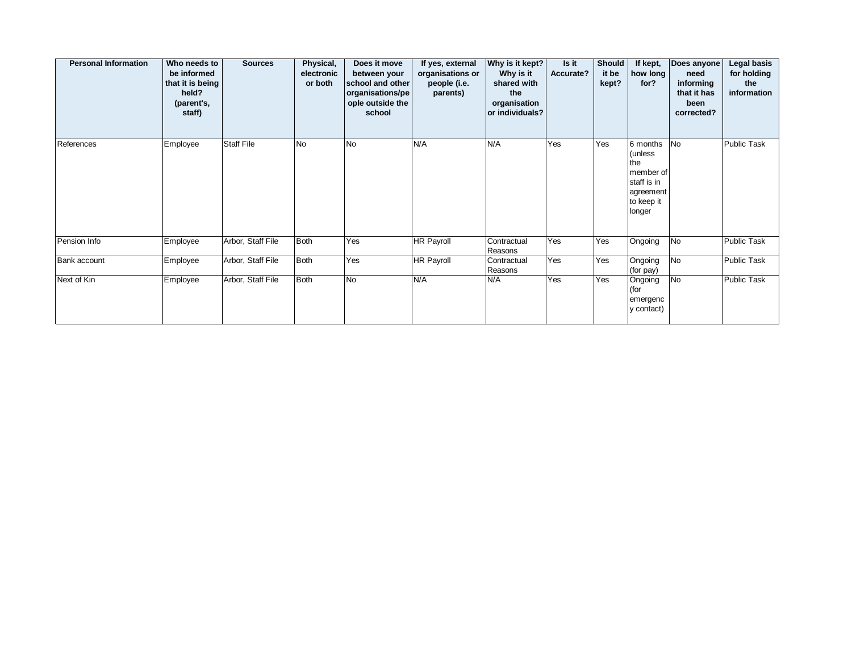| <b>Personal Information</b> | Who needs to<br>be informed<br>that it is being<br>held?<br>(parent's,<br>staff) | <b>Sources</b>    | Physical,<br>electronic<br>or both | Does it move<br>between your<br>school and other<br>organisations/pe<br>ople outside the<br>school | If yes, external<br>organisations or<br>people (i.e.<br>parents) | Why is it kept?<br>Why is it<br>shared with<br>the<br>organisation<br>or individuals? | Is it<br>Accurate? | <b>Should</b><br>it be<br>kept? | If kept,<br>how long<br>for?                                                                 | Does anyone<br>need<br>informing<br>that it has<br>been<br>corrected? | Legal basis<br>for holding<br>the<br>information |
|-----------------------------|----------------------------------------------------------------------------------|-------------------|------------------------------------|----------------------------------------------------------------------------------------------------|------------------------------------------------------------------|---------------------------------------------------------------------------------------|--------------------|---------------------------------|----------------------------------------------------------------------------------------------|-----------------------------------------------------------------------|--------------------------------------------------|
| References                  | Employee                                                                         | <b>Staff File</b> | <b>No</b>                          | N <sub>o</sub>                                                                                     | N/A                                                              | N/A                                                                                   | Yes                | Yes                             | 6 months<br>∣(unless<br>the<br>member of<br>staff is in<br>agreement<br>to keep it<br>longer | N <sub>o</sub>                                                        | <b>Public Task</b>                               |
| Pension Info                | Employee                                                                         | Arbor, Staff File | Both                               | Yes                                                                                                | <b>HR Payroll</b>                                                | Contractual<br>Reasons                                                                | Yes                | Yes                             | Ongoing                                                                                      | No                                                                    | <b>Public Task</b>                               |
| Bank account                | Employee                                                                         | Arbor, Staff File | Both                               | Yes                                                                                                | <b>HR Payroll</b>                                                | Contractual<br>Reasons                                                                | Yes                | Yes                             | Ongoing<br>(for pay)                                                                         | No                                                                    | <b>Public Task</b>                               |
| Next of Kin                 | Employee                                                                         | Arbor, Staff File | Both                               | No.                                                                                                | N/A                                                              | N/A                                                                                   | Yes                | Yes                             | Ongoing<br>(for<br>emergenc<br>y contact)                                                    | No                                                                    | <b>Public Task</b>                               |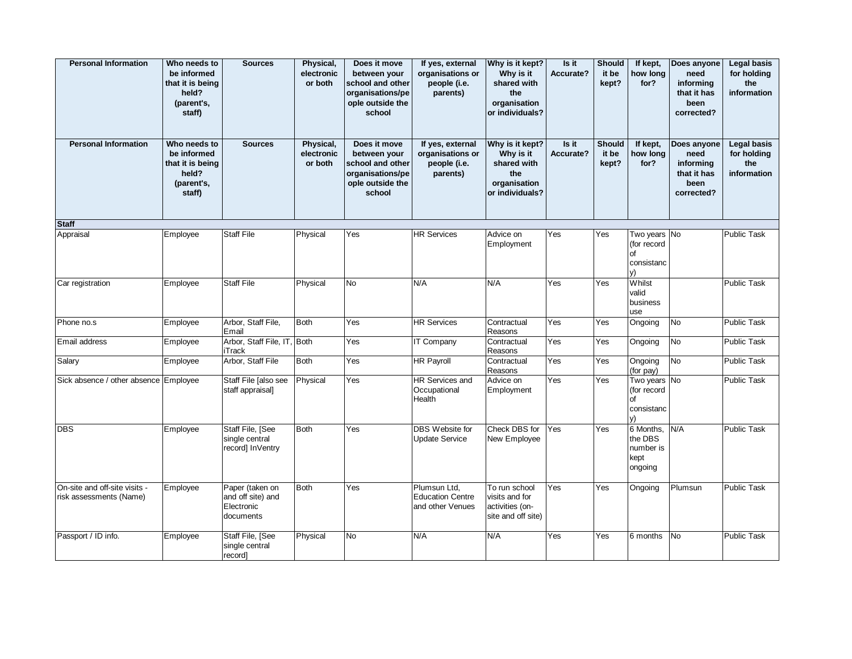| <b>Personal Information</b>                              | Who needs to<br>be informed<br>that it is being<br>held?<br>(parent's,<br>staff) | <b>Sources</b>                                                  | Physical,<br>electronic<br>or both | Does it move<br>between your<br>school and other<br>organisations/pe<br>ople outside the<br>school | If yes, external<br>organisations or<br>people (i.e.<br>parents) | Why is it kept?<br>Why is it<br>shared with<br>the<br>organisation<br>or individuals? | Is it<br>Accurate? | <b>Should</b><br>it be<br>kept? | If kept,<br>how long<br>for?                          | Does anyone<br>need<br>informing<br>that it has<br>been<br>corrected? | <b>Legal basis</b><br>for holding<br>the<br>information |
|----------------------------------------------------------|----------------------------------------------------------------------------------|-----------------------------------------------------------------|------------------------------------|----------------------------------------------------------------------------------------------------|------------------------------------------------------------------|---------------------------------------------------------------------------------------|--------------------|---------------------------------|-------------------------------------------------------|-----------------------------------------------------------------------|---------------------------------------------------------|
| <b>Personal Information</b>                              | Who needs to<br>be informed<br>that it is being<br>held?<br>(parent's,<br>staff) | <b>Sources</b>                                                  | Physical,<br>electronic<br>or both | Does it move<br>between your<br>school and other<br>organisations/pe<br>ople outside the<br>school | If yes, external<br>organisations or<br>people (i.e.<br>parents) | Why is it kept?<br>Why is it<br>shared with<br>the<br>organisation<br>or individuals? | Is it<br>Accurate? | <b>Should</b><br>it be<br>kept? | If kept,<br>how long<br>for?                          | Does anyone<br>need<br>informing<br>that it has<br>been<br>corrected? | <b>Legal basis</b><br>for holding<br>the<br>information |
| <b>Staff</b>                                             |                                                                                  |                                                                 |                                    |                                                                                                    |                                                                  |                                                                                       |                    |                                 |                                                       |                                                                       |                                                         |
| Appraisal                                                | Employee                                                                         | <b>Staff File</b>                                               | Physical                           | Yes                                                                                                | <b>HR Services</b>                                               | Advice on<br>Employment                                                               | Yes                | Yes                             | Two years No<br>(for record<br>of<br>consistanc<br>v) |                                                                       | <b>Public Task</b>                                      |
| Car registration                                         | Employee                                                                         | <b>Staff File</b>                                               | Physical                           | <b>No</b>                                                                                          | N/A                                                              | N/A                                                                                   | Yes                | Yes                             | Whilst<br>valid<br>business<br>use                    |                                                                       | <b>Public Task</b>                                      |
| Phone no.s                                               | Employee                                                                         | Arbor, Staff File,<br>Email                                     | <b>Both</b>                        | Yes                                                                                                | <b>HR Services</b>                                               | Contractual<br>Reasons                                                                | Yes                | Yes                             | Ongoing                                               | N <sub>o</sub>                                                        | <b>Public Task</b>                                      |
| Email address                                            | Employee                                                                         | Arbor, Staff File, IT, Both<br><b>iTrack</b>                    |                                    | Yes                                                                                                | IT Company                                                       | Contractual<br>Reasons                                                                | Yes                | Yes                             | Ongoing                                               | No                                                                    | <b>Public Task</b>                                      |
| Salary                                                   | Employee                                                                         | Arbor, Staff File                                               | <b>Both</b>                        | Yes                                                                                                | <b>HR Payroll</b>                                                | Contractual<br>Reasons                                                                | Yes                | Yes                             | Ongoing<br>(for pay)                                  | No                                                                    | Public Task                                             |
| Sick absence / other absence Employee                    |                                                                                  | Staff File [also see<br>staff appraisal]                        | Physical                           | Yes                                                                                                | <b>HR Services and</b><br>Occupational<br>Health                 | Advice on<br>Employment                                                               | Yes                | Yes                             | Two years No<br>(for record<br>of<br>consistanc<br>y) |                                                                       | Public Task                                             |
| <b>DBS</b>                                               | Employee                                                                         | Staff File, [See<br>single central<br>record] InVentry          | <b>Both</b>                        | Yes                                                                                                | DBS Website for<br><b>Update Service</b>                         | Check DBS for<br>New Employee                                                         | Yes                | Yes                             | 6 Months,<br>the DBS<br>number is<br>kept<br>ongoing  | N/A                                                                   | <b>Public Task</b>                                      |
| On-site and off-site visits -<br>risk assessments (Name) | Employee                                                                         | Paper (taken on<br>and off site) and<br>Electronic<br>documents | <b>Both</b>                        | Yes                                                                                                | Plumsun Ltd,<br><b>Education Centre</b><br>and other Venues      | To run school<br>visits and for<br>activities (on-<br>site and off site)              | Yes                | Yes                             | Ongoing                                               | Plumsun                                                               | Public Task                                             |
| Passport / ID info.                                      | Employee                                                                         | Staff File, [See<br>single central<br>record]                   | Physical                           | <b>No</b>                                                                                          | N/A                                                              | N/A                                                                                   | Yes                | Yes                             | 6 months                                              | <b>No</b>                                                             | <b>Public Task</b>                                      |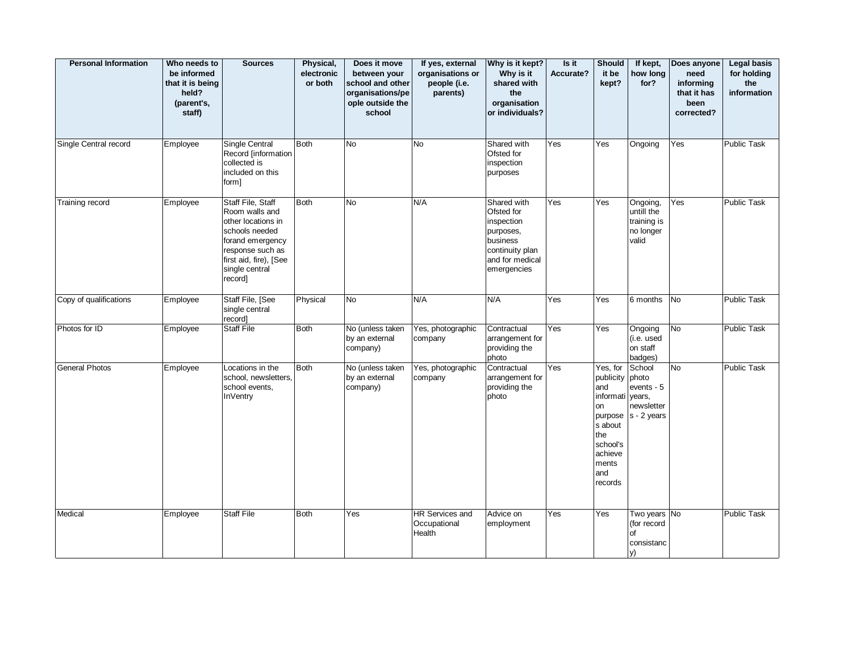| <b>Personal Information</b> | Who needs to<br>be informed<br>that it is being<br>held?<br>(parent's,<br>staff) | <b>Sources</b>                                                                                                                                                             | Physical,<br>electronic<br>or both | Does it move<br>between your<br>school and other<br>organisations/pe<br>ople outside the<br>school | If yes, external<br>organisations or<br>people (i.e.<br>parents) | Why is it kept?<br>Why is it<br>shared with<br>the<br>organisation<br>or individuals?                                 | Is it<br>Accurate? | <b>Should</b><br>it be<br>kept?                                                                                                      | If kept,<br>how long<br>for?                                  | Does anyone<br>need<br>informing<br>that it has<br>been<br>corrected? | <b>Legal basis</b><br>for holding<br>the<br>information |
|-----------------------------|----------------------------------------------------------------------------------|----------------------------------------------------------------------------------------------------------------------------------------------------------------------------|------------------------------------|----------------------------------------------------------------------------------------------------|------------------------------------------------------------------|-----------------------------------------------------------------------------------------------------------------------|--------------------|--------------------------------------------------------------------------------------------------------------------------------------|---------------------------------------------------------------|-----------------------------------------------------------------------|---------------------------------------------------------|
| Single Central record       | Employee                                                                         | Single Central<br>Record [information<br>collected is<br>included on this<br>form]                                                                                         | <b>Both</b>                        | <b>No</b>                                                                                          | <b>No</b>                                                        | Shared with<br>Ofsted for<br>inspection<br>purposes                                                                   | Yes                | Yes                                                                                                                                  | Ongoing                                                       | Yes                                                                   | Public Task                                             |
| Training record             | Employee                                                                         | Staff File, Staff<br>Room walls and<br>other locations in<br>schools needed<br>forand emergency<br>response such as<br>first aid, fire), [See<br>single central<br>record] | <b>Both</b>                        | No                                                                                                 | N/A                                                              | Shared with<br>Ofsted for<br>inspection<br>purposes,<br>business<br>continuity plan<br>and for medical<br>emergencies | Yes                | Yes                                                                                                                                  | Ongoing,<br>untill the<br>training is<br>no longer<br>valid   | Yes                                                                   | <b>Public Task</b>                                      |
| Copy of qualifications      | Employee                                                                         | Staff File, [See<br>single central<br>record]                                                                                                                              | Physical                           | No                                                                                                 | N/A                                                              | N/A                                                                                                                   | Yes                | Yes                                                                                                                                  | 6 months                                                      | No                                                                    | <b>Public Task</b>                                      |
| Photos for ID               | Employee                                                                         | <b>Staff File</b>                                                                                                                                                          | Both                               | No (unless taken<br>by an external<br>company)                                                     | Yes, photographic<br>company                                     | Contractual<br>arrangement for<br>providing the<br>photo                                                              | Yes                | Yes                                                                                                                                  | Ongoing<br>(i.e. used<br>on staff<br>badges)                  | No                                                                    | Public Task                                             |
| <b>General Photos</b>       | Employee                                                                         | Locations in the<br>school, newsletters,<br>school events,<br><b>InVentry</b>                                                                                              | <b>Both</b>                        | No (unless taken<br>by an external<br>company)                                                     | Yes, photographic<br>company                                     | Contractual<br>arrangement for<br>providing the<br>photo                                                              | Yes                | Yes, for<br>publicity photo<br>and<br>informati<br>on<br>purpose<br>s about<br>the<br>school's<br>achieve<br>ments<br>and<br>records | School<br>events - 5<br>vears.<br>newsletter<br>$s - 2$ years | No                                                                    | Public Task                                             |
| Medical                     | Employee                                                                         | <b>Staff File</b>                                                                                                                                                          | <b>Both</b>                        | Yes                                                                                                | <b>HR Services and</b><br>Occupational<br>Health                 | Advice on<br>employment                                                                                               | Yes                | Yes                                                                                                                                  | Two years No<br>(for record<br>of<br>consistanc<br>y)         |                                                                       | <b>Public Task</b>                                      |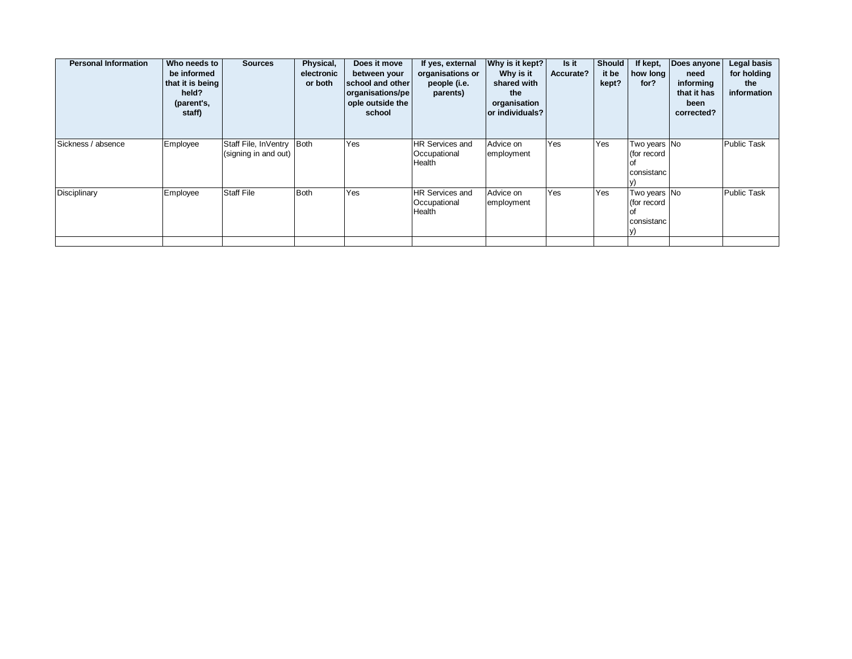| <b>Personal Information</b> | Who needs to<br>be informed<br>that it is being<br>held?<br>(parent's,<br>staff) | <b>Sources</b>                               | Physical,<br>electronic<br>or both | Does it move<br>between your<br>school and other<br>organisations/pe<br>ople outside the<br>school | If yes, external<br>organisations or<br>people (i.e.<br>parents) | Why is it kept?<br>Why is it<br>shared with<br>the<br>organisation<br>or individuals? | Is it<br>Accurate? | <b>Should</b><br>it be<br>kept? | If kept,<br>how long<br>for?                            | Does anyone<br>need<br>informing<br>that it has<br>been<br>corrected? | Legal basis<br>for holding<br>the<br>information |
|-----------------------------|----------------------------------------------------------------------------------|----------------------------------------------|------------------------------------|----------------------------------------------------------------------------------------------------|------------------------------------------------------------------|---------------------------------------------------------------------------------------|--------------------|---------------------------------|---------------------------------------------------------|-----------------------------------------------------------------------|--------------------------------------------------|
| Sickness / absence          | Employee                                                                         | Staff File, InVentry<br>(signing in and out) | Both                               | Yes                                                                                                | HR Services and<br>Occupational<br>Health                        | Advice on<br>employment                                                               | Yes                | Yes                             | Two years No<br>(for record<br>lof<br>consistanc        |                                                                       | <b>Public Task</b>                               |
| Disciplinary                | Employee                                                                         | <b>Staff File</b>                            | Both                               | Yes                                                                                                | <b>HR Services and</b><br>Occupational<br>Health                 | Advice on<br>employment                                                               | Yes                | Yes                             | Two years No<br>(for record<br>l of<br>consistanc<br>Y) |                                                                       | Public Task                                      |
|                             |                                                                                  |                                              |                                    |                                                                                                    |                                                                  |                                                                                       |                    |                                 |                                                         |                                                                       |                                                  |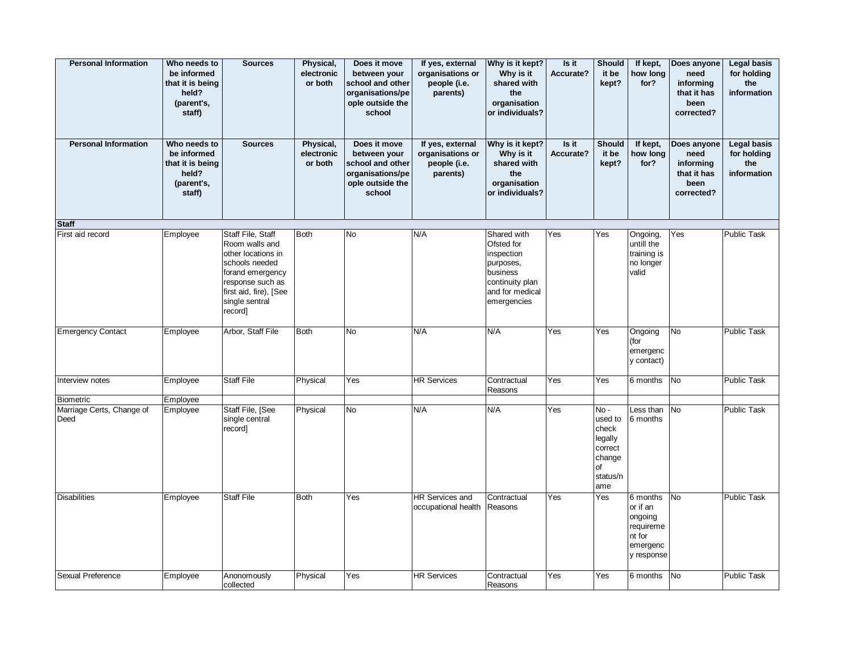| <b>Personal Information</b>       | Who needs to<br>be informed<br>that it is being<br>held?<br>(parent's,<br>staff) | <b>Sources</b>                                                                                                                                                             | Physical,<br>electronic<br>or both | Does it move<br>between your<br>school and other<br>organisations/pe<br>ople outside the<br>school | If yes, external<br>organisations or<br>people (i.e.<br>parents) | Why is it kept?<br>Why is it<br>shared with<br>the<br>organisation<br>or individuals?                                 | Is it<br>Accurate? | <b>Should</b><br>it be<br>kept?                                                            | If kept,<br>how long<br>for?                                                     | Does anyone<br>need<br>informing<br>that it has<br>been<br>corrected? | <b>Legal basis</b><br>for holding<br>the<br>information |
|-----------------------------------|----------------------------------------------------------------------------------|----------------------------------------------------------------------------------------------------------------------------------------------------------------------------|------------------------------------|----------------------------------------------------------------------------------------------------|------------------------------------------------------------------|-----------------------------------------------------------------------------------------------------------------------|--------------------|--------------------------------------------------------------------------------------------|----------------------------------------------------------------------------------|-----------------------------------------------------------------------|---------------------------------------------------------|
| <b>Personal Information</b>       | Who needs to<br>be informed<br>that it is being<br>held?<br>(parent's,<br>staff) | <b>Sources</b>                                                                                                                                                             | Physical,<br>electronic<br>or both | Does it move<br>between your<br>school and other<br>organisations/pe<br>ople outside the<br>school | If yes, external<br>organisations or<br>people (i.e.<br>parents) | Why is it kept?<br>Why is it<br>shared with<br>the<br>organisation<br>or individuals?                                 | Is it<br>Accurate? | <b>Should</b><br>it be<br>kept?                                                            | If kept,<br>how long<br>for?                                                     | Does anyone<br>need<br>informing<br>that it has<br>been<br>corrected? | <b>Legal basis</b><br>for holding<br>the<br>information |
| <b>Staff</b>                      |                                                                                  |                                                                                                                                                                            |                                    |                                                                                                    |                                                                  |                                                                                                                       |                    |                                                                                            |                                                                                  |                                                                       |                                                         |
| First aid record                  | Employee                                                                         | Staff File, Staff<br>Room walls and<br>other locations in<br>schools needed<br>forand emergency<br>response such as<br>first aid, fire), [See<br>single sentral<br>record] | <b>Both</b>                        | No                                                                                                 | N/A                                                              | Shared with<br>Ofsted for<br>inspection<br>purposes,<br>business<br>continuity plan<br>and for medical<br>emergencies | Yes                | Yes                                                                                        | Ongoing,<br>untill the<br>training is<br>no longer<br>valid                      | Yes                                                                   | <b>Public Task</b>                                      |
| <b>Emergency Contact</b>          | Employee                                                                         | Arbor, Staff File                                                                                                                                                          | <b>Both</b>                        | <b>No</b>                                                                                          | N/A                                                              | N/A                                                                                                                   | Yes                | Yes                                                                                        | Ongoing<br>(for<br>emergenc<br>y contact)                                        | <b>No</b>                                                             | <b>Public Task</b>                                      |
| Interview notes                   | Employee                                                                         | <b>Staff File</b>                                                                                                                                                          | Physical                           | Yes                                                                                                | <b>HR Services</b>                                               | Contractual<br>Reasons                                                                                                | Yes                | Yes                                                                                        | 6 months                                                                         | <b>No</b>                                                             | Public Task                                             |
| <b>Biometric</b>                  | Employee                                                                         |                                                                                                                                                                            |                                    |                                                                                                    |                                                                  |                                                                                                                       |                    |                                                                                            |                                                                                  |                                                                       |                                                         |
| Marriage Certs, Change of<br>Deed | Employee                                                                         | Staff File, [See<br>single central<br>record]                                                                                                                              | Physical                           | No                                                                                                 | N/A                                                              | N/A                                                                                                                   | Yes                | $No -$<br>used to<br>check<br>legally<br>correct<br>change<br><b>of</b><br>status/n<br>ame | Less than<br>6 months                                                            | <b>No</b>                                                             | <b>Public Task</b>                                      |
| <b>Disabilities</b>               | Employee                                                                         | <b>Staff File</b>                                                                                                                                                          | Both                               | Yes                                                                                                | <b>HR Services and</b><br>occupational health                    | Contractual<br>Reasons                                                                                                | Yes                | Yes                                                                                        | 6 months<br>or if an<br>ongoing<br>requireme<br>nt for<br>emergenc<br>y response | <b>No</b>                                                             | <b>Public Task</b>                                      |
| Sexual Preference                 | Employee                                                                         | Anonomously<br>collected                                                                                                                                                   | Physical                           | Yes                                                                                                | <b>HR Services</b>                                               | Contractual<br>Reasons                                                                                                | Yes                | Yes                                                                                        | 6 months No                                                                      |                                                                       | Public Task                                             |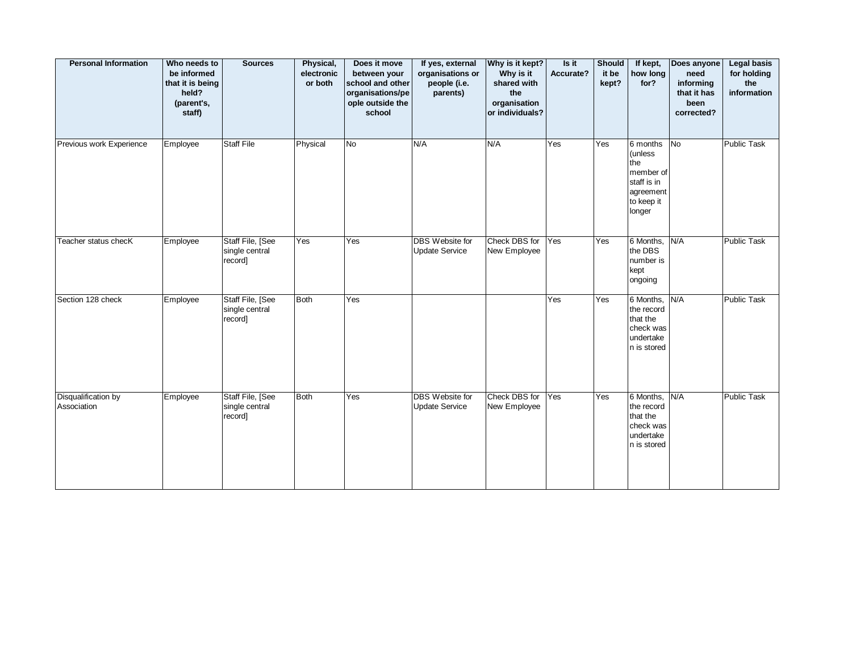| <b>Personal Information</b>        | Who needs to<br>be informed<br>that it is being<br>held?<br>(parent's,<br>staff) | <b>Sources</b>                                | Physical,<br>electronic<br>or both | Does it move<br>between your<br>school and other<br>organisations/pe<br>ople outside the<br>school | If yes, external<br>organisations or<br>people (i.e.<br>parents) | Why is it kept?<br>Why is it<br>shared with<br>the<br>organisation<br>or individuals? | Is it<br>Accurate? | Should<br>it be<br>kept? | If kept,<br>how long<br>for?                                                                | Does anyone<br>need<br>informing<br>that it has<br>been<br>corrected? | <b>Legal basis</b><br>for holding<br>the<br>information |
|------------------------------------|----------------------------------------------------------------------------------|-----------------------------------------------|------------------------------------|----------------------------------------------------------------------------------------------------|------------------------------------------------------------------|---------------------------------------------------------------------------------------|--------------------|--------------------------|---------------------------------------------------------------------------------------------|-----------------------------------------------------------------------|---------------------------------------------------------|
| Previous work Experience           | Employee                                                                         | <b>Staff File</b>                             | Physical                           | No                                                                                                 | N/A                                                              | N/A                                                                                   | Yes                | Yes                      | 6 months<br>(unless<br>the<br>member of<br>staff is in<br>agreement<br>to keep it<br>longer | No                                                                    | Public Task                                             |
| Teacher status checK               | Employee                                                                         | Staff File, [See<br>single central<br>record] | Yes                                | Yes                                                                                                | <b>DBS</b> Website for<br><b>Update Service</b>                  | Check DBS for<br>New Employee                                                         | Yes                | Yes                      | 6 Months, N/A<br>the DBS<br>number is<br>kept<br>ongoing                                    |                                                                       | <b>Public Task</b>                                      |
| Section 128 check                  | Employee                                                                         | Staff File, [See<br>single central<br>record] | Both                               | Yes                                                                                                |                                                                  |                                                                                       | Yes                | Yes                      | 6 Months,<br>the record<br>that the<br>check was<br>undertake<br>n is stored                | N/A                                                                   | <b>Public Task</b>                                      |
| Disqualification by<br>Association | Employee                                                                         | Staff File, [See<br>single central<br>record] | Both                               | Yes                                                                                                | DBS Website for<br><b>Update Service</b>                         | Check DBS for<br>New Employee                                                         | Yes                | Yes                      | 6 Months, N/A<br>the record<br>that the<br>check was<br>undertake<br>n is stored            |                                                                       | <b>Public Task</b>                                      |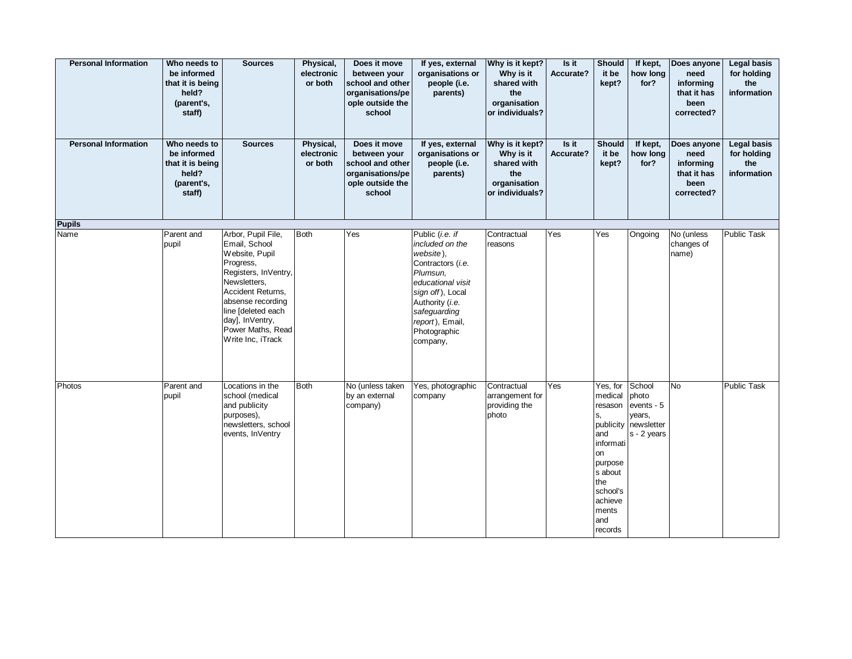| <b>Personal Information</b> | Who needs to<br>be informed<br>that it is being<br>held?<br>(parent's,<br>staff) | <b>Sources</b>                                                                                                                                                                                                                          | Physical,<br>electronic<br>or both | Does it move<br>between your<br>school and other<br>organisations/pe<br>ople outside the<br>school | If yes, external<br>organisations or<br>people (i.e.<br>parents)                                                                                                                                            | Why is it kept?<br>Why is it<br>shared with<br>the<br>organisation<br>or individuals? | Is it<br>Accurate? | <b>Should</b><br>it be<br>kept?                                                                                                               | If kept,<br>how long<br>for?                                                   | Does anyone<br>need<br>informing<br>that it has<br>been<br>corrected? | <b>Legal basis</b><br>for holding<br>the<br>information |
|-----------------------------|----------------------------------------------------------------------------------|-----------------------------------------------------------------------------------------------------------------------------------------------------------------------------------------------------------------------------------------|------------------------------------|----------------------------------------------------------------------------------------------------|-------------------------------------------------------------------------------------------------------------------------------------------------------------------------------------------------------------|---------------------------------------------------------------------------------------|--------------------|-----------------------------------------------------------------------------------------------------------------------------------------------|--------------------------------------------------------------------------------|-----------------------------------------------------------------------|---------------------------------------------------------|
| <b>Personal Information</b> | Who needs to<br>be informed<br>that it is being<br>held?<br>(parent's,<br>staff) | <b>Sources</b>                                                                                                                                                                                                                          | Physical,<br>electronic<br>or both | Does it move<br>between your<br>school and other<br>organisations/pe<br>ople outside the<br>school | If yes, external<br>organisations or<br>people (i.e.<br>parents)                                                                                                                                            | Why is it kept?<br>Why is it<br>shared with<br>the<br>organisation<br>or individuals? | Is it<br>Accurate? | <b>Should</b><br>it be<br>kept?                                                                                                               | If kept,<br>how long<br>for?                                                   | Does anyone<br>need<br>informing<br>that it has<br>been<br>corrected? | <b>Legal basis</b><br>for holding<br>the<br>information |
| <b>Pupils</b>               |                                                                                  |                                                                                                                                                                                                                                         |                                    |                                                                                                    |                                                                                                                                                                                                             |                                                                                       |                    |                                                                                                                                               |                                                                                |                                                                       |                                                         |
| Name                        | Parent and<br>pupil                                                              | Arbor, Pupil File,<br>Email, School<br>Website, Pupil<br>Progress,<br>Registers, InVentry,<br>Newsletters,<br>Accident Returns,<br>absense recording<br>line [deleted each<br>day], InVentry,<br>Power Maths, Read<br>Write Inc, iTrack | Both                               | Yes                                                                                                | Public (i.e. if<br>included on the<br>website),<br>Contractors (i.e.<br>Plumsun,<br>educational visit<br>sign off), Local<br>Authority (i.e.<br>safeguarding<br>report), Email,<br>Photographic<br>company, | Contractual<br>reasons                                                                | Yes                | Yes                                                                                                                                           | Ongoing                                                                        | No (unless<br>changes of<br>name)                                     | <b>Public Task</b>                                      |
| Photos                      | Parent and<br>pupil                                                              | Locations in the<br>school (medical<br>and publicity<br>purposes),<br>newsletters, school<br>events, InVentry                                                                                                                           | Both                               | No (unless taken<br>by an external<br>company)                                                     | Yes, photographic<br>company                                                                                                                                                                                | Contractual<br>arrangement for<br>providing the<br>photo                              | Yes                | Yes, for<br>medical<br>resason<br>S,<br>and<br>informati<br>on<br>purpose<br>s about<br>the<br>school's<br>achieve<br>ments<br>and<br>records | School<br>photo<br>events - 5<br>years,<br>publicity newsletter<br>s - 2 years | <b>No</b>                                                             | <b>Public Task</b>                                      |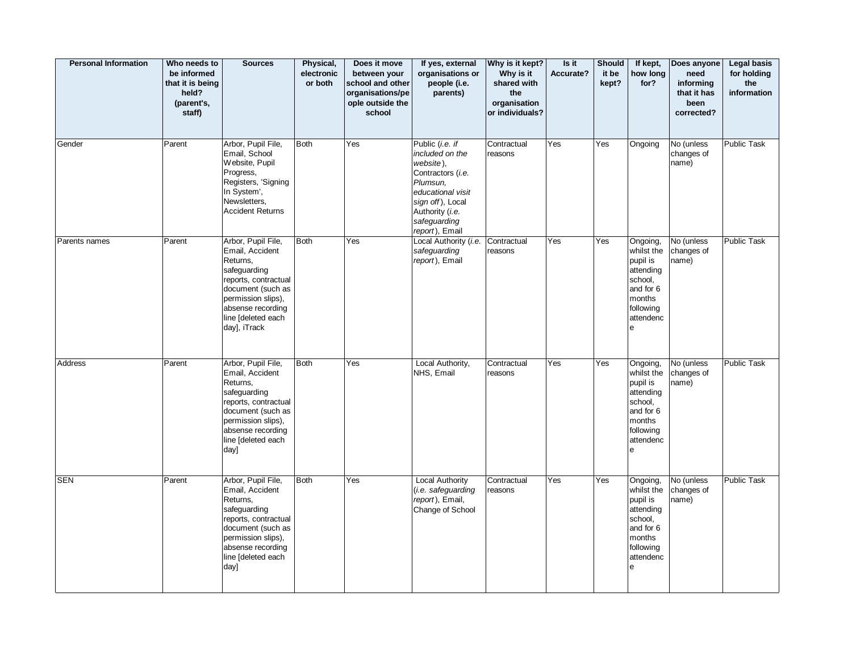| <b>Personal Information</b> | Who needs to<br>be informed<br>that it is being<br>held?<br>(parent's,<br>staff) | <b>Sources</b>                                                                                                                                                                                  | Physical,<br>electronic<br>or both | Does it move<br>between your<br>school and other<br>organisations/pe<br>ople outside the<br>school | If yes, external<br>organisations or<br>people (i.e.<br>parents)                                                                                                               | Why is it kept?<br>Why is it<br>shared with<br>the<br>organisation<br>or individuals? | Is it<br>Accurate? | <b>Should</b><br>it be<br>kept? | If kept,<br>how long<br>for?                                                                                     | Does anyone<br>need<br>informing<br>that it has<br>been<br>corrected? | <b>Legal basis</b><br>for holding<br>the<br>information |
|-----------------------------|----------------------------------------------------------------------------------|-------------------------------------------------------------------------------------------------------------------------------------------------------------------------------------------------|------------------------------------|----------------------------------------------------------------------------------------------------|--------------------------------------------------------------------------------------------------------------------------------------------------------------------------------|---------------------------------------------------------------------------------------|--------------------|---------------------------------|------------------------------------------------------------------------------------------------------------------|-----------------------------------------------------------------------|---------------------------------------------------------|
| Gender                      | Parent                                                                           | Arbor, Pupil File,<br>Email, School<br>Website, Pupil<br>Progress,<br>Registers, 'Signing<br>In System',<br>Newsletters,<br><b>Accident Returns</b>                                             | <b>Both</b>                        | Yes                                                                                                | Public (i.e. if<br>included on the<br>website),<br>Contractors (i.e.<br>Plumsun.<br>educational visit<br>sign off), Local<br>Authority (i.e.<br>safeguarding<br>report), Email | Contractual<br>reasons                                                                | Yes                | Yes                             | Ongoing                                                                                                          | No (unless<br>changes of<br>name)                                     | Public Task                                             |
| Parents names               | Parent                                                                           | Arbor, Pupil File,<br>Email, Accident<br>Returns,<br>safeguarding<br>reports, contractual<br>document (such as<br>permission slips),<br>absense recording<br>line [deleted each<br>day], iTrack | <b>Both</b>                        | Yes                                                                                                | Local Authority (i.e.<br>safeguarding<br>report), Email                                                                                                                        | Contractual<br>reasons                                                                | Yes                | Yes                             | Ongoing,<br>whilst the<br>pupil is<br>attending<br>school,<br>and for 6<br>months<br>following<br>attendenc<br>e | No (unless<br>changes of<br>name)                                     | Public Task                                             |
| Address                     | Parent                                                                           | Arbor, Pupil File,<br>Email, Accident<br>Returns,<br>safeguarding<br>reports, contractual<br>document (such as<br>permission slips),<br>absense recording<br>line [deleted each<br>day]         | <b>Both</b>                        | Yes                                                                                                | Local Authority,<br>NHS, Email                                                                                                                                                 | Contractual<br>reasons                                                                | Yes                | Yes                             | Ongoing,<br>whilst the<br>pupil is<br>attending<br>school,<br>and for 6<br>months<br>following<br>attendenc<br>е | No (unless<br>changes of<br>name)                                     | Public Task                                             |
| <b>SEN</b>                  | Parent                                                                           | Arbor, Pupil File,<br>Email, Accident<br>Returns,<br>safeguarding<br>reports, contractual<br>document (such as<br>permission slips),<br>absense recording<br>line [deleted each<br>day]         | <b>Both</b>                        | Yes                                                                                                | <b>Local Authority</b><br>(i.e. safeguarding<br>report), Email,<br>Change of School                                                                                            | Contractual<br>reasons                                                                | Yes                | Yes                             | Ongoing,<br>whilst the<br>pupil is<br>attending<br>school,<br>and for 6<br>months<br>following<br>attendenc<br>е | No (unless<br>changes of<br>name)                                     | Public Task                                             |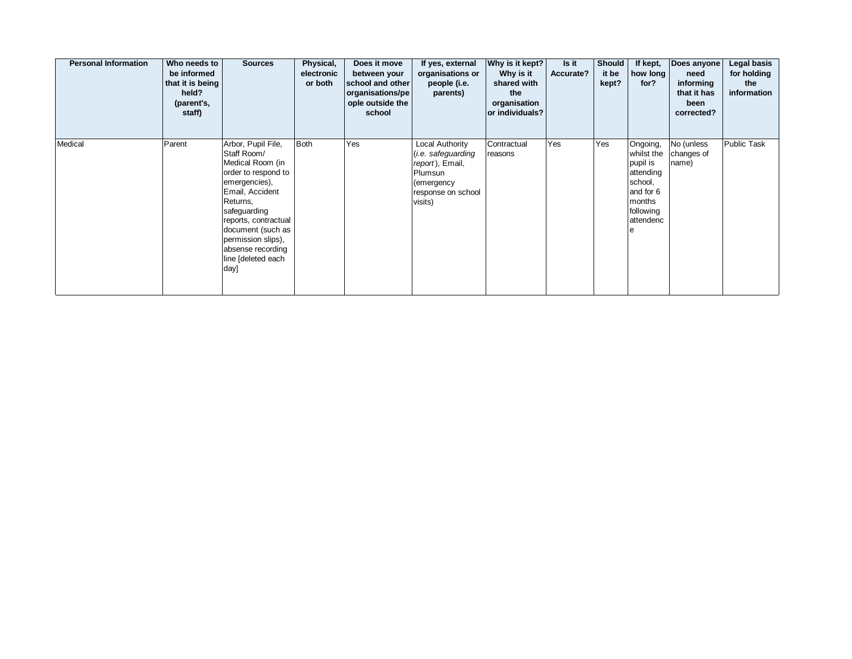| <b>Personal Information</b> | Who needs to<br>be informed<br>that it is being<br>held?<br>(parent's,<br>staff) | <b>Sources</b>                                                                                                                                                                                                                                                     | Physical,<br>electronic<br>or both | Does it move<br>between your<br>school and other<br>organisations/pe<br>ople outside the<br>school | If yes, external<br>organisations or<br>people (i.e.<br>parents)                                                           | Why is it kept?<br>Why is it<br>shared with<br>the<br>organisation<br>or individuals? | Is it<br>Accurate? | <b>Should</b><br>it be<br>kept? | If kept,<br>how long<br>for?                                                                                     | Does anyone<br>need<br>informing<br>that it has<br>been<br>corrected? | Legal basis<br>for holding<br>the<br>information |
|-----------------------------|----------------------------------------------------------------------------------|--------------------------------------------------------------------------------------------------------------------------------------------------------------------------------------------------------------------------------------------------------------------|------------------------------------|----------------------------------------------------------------------------------------------------|----------------------------------------------------------------------------------------------------------------------------|---------------------------------------------------------------------------------------|--------------------|---------------------------------|------------------------------------------------------------------------------------------------------------------|-----------------------------------------------------------------------|--------------------------------------------------|
| Medical                     | Parent                                                                           | Arbor, Pupil File,<br>Staff Room/<br>Medical Room (in<br>order to respond to<br>emergencies),<br>Email, Accident<br>Returns,<br>safeguarding<br>reports, contractual<br>document (such as<br>permission slips),<br>absense recording<br>line [deleted each<br>day] | <b>Both</b>                        | Yes                                                                                                | Local Authority<br>( <i>i.e.</i> safeguarding<br>report), Email,<br>Plumsun<br>(emergency<br>response on school<br>visits) | Contractual<br>reasons                                                                | Yes                | Yes                             | Ongoing,<br>whilst the<br>pupil is<br>attending<br>school,<br>and for 6<br>months<br>following<br>attendenc<br>e | No (unless<br>changes of<br>name)                                     | Public Task                                      |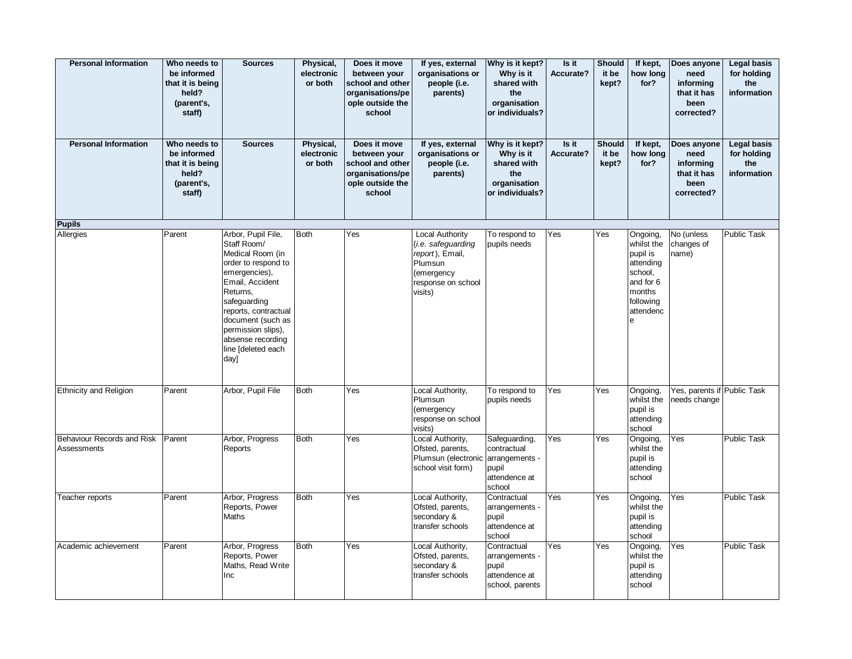| <b>Personal Information</b>               | Who needs to<br>be informed<br>that it is being<br>held?<br>(parent's,<br>staff) | <b>Sources</b>                                                                                                                                                                                                                                                     | Physical,<br>electronic<br>or both | Does it move<br>between your<br>school and other<br>organisations/pe<br>ople outside the<br>school | If yes, external<br>organisations or<br>people (i.e.<br>parents)                                                   | Why is it kept?<br>Why is it<br>shared with<br>the<br>organisation<br>or individuals? | Is it<br>Accurate? | <b>Should</b><br>it be<br>kept? | If kept,<br>how long<br>for?                                                                                     | Does anyone<br>need<br>informing<br>that it has<br>been<br>corrected? | <b>Legal basis</b><br>for holding<br>the<br>information |
|-------------------------------------------|----------------------------------------------------------------------------------|--------------------------------------------------------------------------------------------------------------------------------------------------------------------------------------------------------------------------------------------------------------------|------------------------------------|----------------------------------------------------------------------------------------------------|--------------------------------------------------------------------------------------------------------------------|---------------------------------------------------------------------------------------|--------------------|---------------------------------|------------------------------------------------------------------------------------------------------------------|-----------------------------------------------------------------------|---------------------------------------------------------|
| <b>Personal Information</b>               | Who needs to<br>be informed<br>that it is being<br>held?<br>(parent's,<br>staff) | <b>Sources</b>                                                                                                                                                                                                                                                     | Physical,<br>electronic<br>or both | Does it move<br>between your<br>school and other<br>organisations/pe<br>ople outside the<br>school | If yes, external<br>organisations or<br>people (i.e.<br>parents)                                                   | Why is it kept?<br>Why is it<br>shared with<br>the<br>organisation<br>or individuals? | Is it<br>Accurate? | <b>Should</b><br>it be<br>kept? | If kept,<br>how long<br>for?                                                                                     | Does anyone<br>need<br>informing<br>that it has<br>been<br>corrected? | <b>Legal basis</b><br>for holding<br>the<br>information |
| <b>Pupils</b>                             |                                                                                  |                                                                                                                                                                                                                                                                    |                                    |                                                                                                    |                                                                                                                    |                                                                                       |                    |                                 |                                                                                                                  |                                                                       |                                                         |
| Allergies                                 | Parent                                                                           | Arbor, Pupil File,<br>Staff Room/<br>Medical Room (in<br>order to respond to<br>emergencies),<br>Email, Accident<br>Returns,<br>safeguarding<br>reports, contractual<br>document (such as<br>permission slips).<br>absense recording<br>line [deleted each<br>day] | Both                               | Yes                                                                                                | Local Authority<br>(i.e. safeguarding<br>report), Email,<br>Plumsun<br>(emergency<br>response on school<br>visits) | To respond to<br>pupils needs                                                         | Yes                | Yes                             | Ongoing,<br>whilst the<br>pupil is<br>attending<br>school,<br>and for 6<br>months<br>following<br>attendenc<br>e | No (unless<br>changes of<br>name)                                     | <b>Public Task</b>                                      |
| <b>Ethnicity and Religion</b>             | Parent                                                                           | Arbor, Pupil File                                                                                                                                                                                                                                                  | <b>Both</b>                        | Yes                                                                                                | Local Authority,<br>Plumsun<br>(emergency<br>response on school<br>visits)                                         | To respond to<br>pupils needs                                                         | Yes                | Yes                             | Ongoing,<br>whilst the<br>pupil is<br>attending<br>school                                                        | Yes, parents if Public Task<br>needs change                           |                                                         |
| Behaviour Records and Risk<br>Assessments | Parent                                                                           | Arbor, Progress<br>Reports                                                                                                                                                                                                                                         | Both                               | Yes                                                                                                | Local Authority,<br>Ofsted, parents,<br>Plumsun (electronic<br>school visit form)                                  | Safeguarding,<br>contractual<br>arrangements -<br>pupil<br>attendence at<br>school    | Yes                | Yes                             | Ongoing,<br>whilst the<br>pupil is<br>attending<br>school                                                        | Yes                                                                   | <b>Public Task</b>                                      |
| Teacher reports                           | Parent                                                                           | Arbor, Progress<br>Reports, Power<br>Maths                                                                                                                                                                                                                         | Both                               | Yes                                                                                                | Local Authority,<br>Ofsted, parents,<br>secondary &<br>transfer schools                                            | Contractual<br>arrangements -<br>pupil<br>attendence at<br>school                     | Yes                | Yes                             | Ongoing,<br>whilst the<br>pupil is<br>attending<br>school                                                        | Yes                                                                   | <b>Public Task</b>                                      |
| Academic achievement                      | Parent                                                                           | Arbor, Progress<br>Reports, Power<br>Maths, Read Write<br>Inc                                                                                                                                                                                                      | Both                               | Yes                                                                                                | Local Authority,<br>Ofsted, parents,<br>secondary &<br>transfer schools                                            | Contractual<br>arrangements -<br>pupil<br>attendence at<br>school, parents            | Yes                | Yes                             | Ongoing,<br>whilst the<br>pupil is<br>attending<br>school                                                        | Yes                                                                   | <b>Public Task</b>                                      |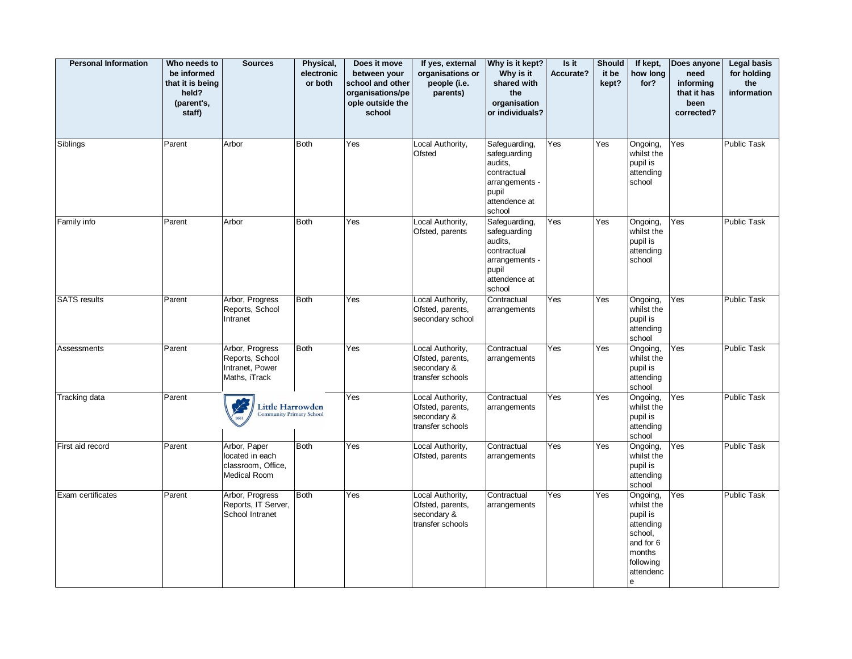| <b>Personal Information</b> | Who needs to<br>be informed<br>that it is being<br>held?<br>(parent's,<br>staff) | <b>Sources</b>                                                         | Physical,<br>electronic<br>or both | Does it move<br>between your<br>school and other<br>organisations/pe<br>ople outside the<br>school | If yes, external<br>organisations or<br>people (i.e.<br>parents)        | Why is it kept?<br>Why is it<br>shared with<br>the<br>organisation<br>or individuals?                         | Is it<br>Accurate? | <b>Should</b><br>it be<br>kept? | If kept,<br>how long<br>for?                                                                                     | Does anyone<br>need<br>informing<br>that it has<br>been<br>corrected? | <b>Legal basis</b><br>for holding<br>the<br>information |
|-----------------------------|----------------------------------------------------------------------------------|------------------------------------------------------------------------|------------------------------------|----------------------------------------------------------------------------------------------------|-------------------------------------------------------------------------|---------------------------------------------------------------------------------------------------------------|--------------------|---------------------------------|------------------------------------------------------------------------------------------------------------------|-----------------------------------------------------------------------|---------------------------------------------------------|
| Siblings                    | Parent                                                                           | Arbor                                                                  | <b>Both</b>                        | Yes                                                                                                | Local Authority,<br>Ofsted                                              | Safeguarding,<br>safeguarding<br>audits,<br>contractual<br>arrangements -<br>pupil<br>attendence at<br>school | Yes                | Yes                             | Ongoing,<br>whilst the<br>pupil is<br>attending<br>school                                                        | Yes                                                                   | Public Task                                             |
| Family info                 | Parent                                                                           | Arbor                                                                  | <b>Both</b>                        | Yes                                                                                                | Local Authority,<br>Ofsted, parents                                     | Safeguarding,<br>safeguarding<br>audits,<br>contractual<br>arrangements -<br>pupil<br>attendence at<br>school | Yes                | Yes                             | Ongoing,<br>whilst the<br>pupil is<br>attending<br>school                                                        | Yes                                                                   | <b>Public Task</b>                                      |
| <b>SATS</b> results         | Parent                                                                           | Arbor, Progress<br>Reports, School<br>Intranet                         | <b>Both</b>                        | Yes                                                                                                | Local Authority,<br>Ofsted, parents,<br>secondary school                | Contractual<br>arrangements                                                                                   | Yes                | Yes                             | Ongoing,<br>whilst the<br>pupil is<br>attending<br>school                                                        | Yes                                                                   | <b>Public Task</b>                                      |
| Assessments                 | Parent                                                                           | Arbor, Progress<br>Reports, School<br>Intranet, Power<br>Maths, iTrack | Both                               | Yes                                                                                                | Local Authority,<br>Ofsted, parents,<br>secondary &<br>transfer schools | Contractual<br>arrangements                                                                                   | Yes                | Yes                             | Ongoing,<br>whilst the<br>pupil is<br>attending<br>school                                                        | Yes                                                                   | <b>Public Task</b>                                      |
| Tracking data               | Parent                                                                           | Little Harrowden                                                       | nmunity Primary School             | Yes                                                                                                | Local Authority,<br>Ofsted, parents,<br>secondary &<br>transfer schools | Contractual<br>arrangements                                                                                   | Yes                | Yes                             | Ongoing,<br>whilst the<br>pupil is<br>attending<br>school                                                        | Yes                                                                   | <b>Public Task</b>                                      |
| First aid record            | Parent                                                                           | Arbor, Paper<br>located in each<br>classroom, Office,<br>Medical Room  | <b>Both</b>                        | Yes                                                                                                | Local Authority,<br>Ofsted, parents                                     | Contractual<br>arrangements                                                                                   | Yes                | Yes                             | Ongoing,<br>whilst the<br>pupil is<br>attending<br>school                                                        | Yes                                                                   | Public Task                                             |
| Exam certificates           | Parent                                                                           | Arbor, Progress<br>Reports, IT Server,<br>School Intranet              | Both                               | Yes                                                                                                | Local Authority,<br>Ofsted, parents,<br>secondary &<br>transfer schools | Contractual<br>arrangements                                                                                   | Yes                | Yes                             | Ongoing,<br>whilst the<br>pupil is<br>attending<br>school,<br>and for 6<br>months<br>following<br>attendenc<br>e | Yes                                                                   | Public Task                                             |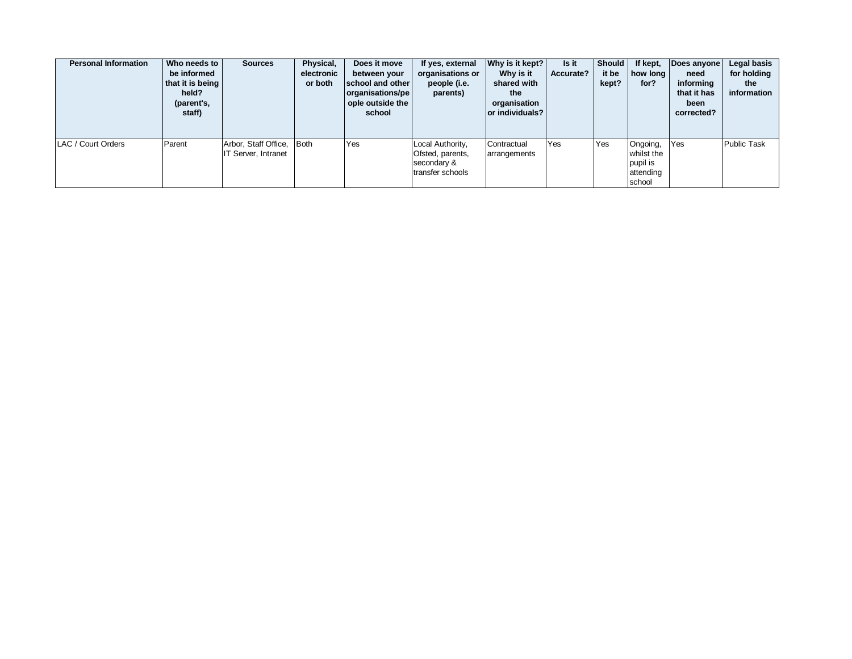| <b>Personal Information</b> | Who needs to<br>be informed<br>that it is being<br>held?<br>(parent's,<br>staff) | <b>Sources</b>                              | Physical,<br>electronic<br>or both | Does it move<br>between your<br>school and other<br>organisations/pe<br>ople outside the<br>school | If yes, external<br>organisations or<br>people (i.e.<br>parents)        | Why is it kept?<br>Why is it<br>shared with<br>the<br>organisation<br>or individuals? | Is it<br>Accurate? | <b>Should</b><br>it be<br>kept? | If kept,<br>how lona<br>for?                              | Does anyone<br>need<br>informing<br>that it has<br>been<br>corrected? | Legal basis<br>for holding<br>the<br>information |
|-----------------------------|----------------------------------------------------------------------------------|---------------------------------------------|------------------------------------|----------------------------------------------------------------------------------------------------|-------------------------------------------------------------------------|---------------------------------------------------------------------------------------|--------------------|---------------------------------|-----------------------------------------------------------|-----------------------------------------------------------------------|--------------------------------------------------|
| LAC / Court Orders          | Parent                                                                           | Arbor, Staff Office,<br>IT Server, Intranet | Both                               | Yes                                                                                                | Local Authority,<br>Ofsted, parents,<br>secondary &<br>transfer schools | Contractual<br>arrangements                                                           | Yes                | Yes                             | Ongoing,<br>whilst the<br>pupil is<br>attending<br>school | Yes                                                                   | <b>Public Task</b>                               |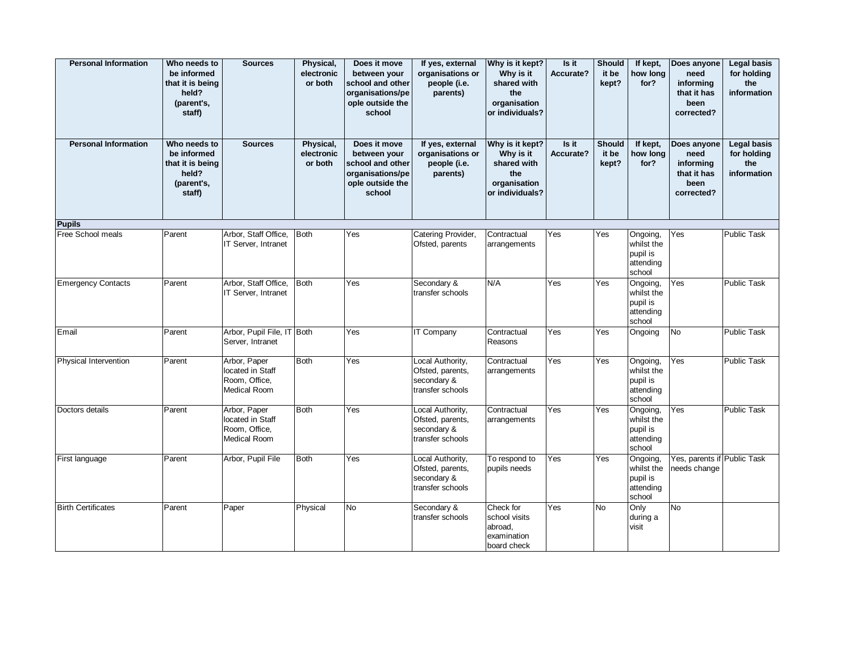| <b>Personal Information</b> | Who needs to<br>be informed<br>that it is being<br>held?<br>(parent's,<br>staff) | <b>Sources</b>                                                           | Physical,<br>electronic<br>or both | Does it move<br>between your<br>school and other<br>organisations/pe<br>ople outside the<br>school | If yes, external<br>organisations or<br>people (i.e.<br>parents)        | Why is it kept?<br>Why is it<br>shared with<br>the<br>organisation<br>or individuals? | Is it<br>Accurate? | <b>Should</b><br>it be<br>kept? | If kept,<br>how long<br>for?                              | Does anyone<br>need<br>informing<br>that it has<br>been<br>corrected? | <b>Legal basis</b><br>for holding<br>the<br>information |
|-----------------------------|----------------------------------------------------------------------------------|--------------------------------------------------------------------------|------------------------------------|----------------------------------------------------------------------------------------------------|-------------------------------------------------------------------------|---------------------------------------------------------------------------------------|--------------------|---------------------------------|-----------------------------------------------------------|-----------------------------------------------------------------------|---------------------------------------------------------|
| <b>Personal Information</b> | Who needs to<br>be informed<br>that it is being<br>held?<br>(parent's,<br>staff) | <b>Sources</b>                                                           | Physical,<br>electronic<br>or both | Does it move<br>between your<br>school and other<br>organisations/pe<br>ople outside the<br>school | If yes, external<br>organisations or<br>people (i.e.<br>parents)        | Why is it kept?<br>Why is it<br>shared with<br>the<br>organisation<br>or individuals? | Is it<br>Accurate? | <b>Should</b><br>it be<br>kept? | If kept,<br>how long<br>for?                              | Does anyone<br>need<br>informing<br>that it has<br>been<br>corrected? | <b>Legal basis</b><br>for holding<br>the<br>information |
| <b>Pupils</b>               |                                                                                  |                                                                          |                                    |                                                                                                    |                                                                         |                                                                                       |                    |                                 |                                                           |                                                                       |                                                         |
| Free School meals           | Parent                                                                           | Arbor, Staff Office,<br>IT Server, Intranet                              | Both                               | Yes                                                                                                | Catering Provider,<br>Ofsted, parents                                   | Contractual<br>arrangements                                                           | Yes                | Yes                             | Ongoing,<br>whilst the<br>pupil is<br>attending<br>school | Yes                                                                   | <b>Public Task</b>                                      |
| <b>Emergency Contacts</b>   | Parent                                                                           | Arbor, Staff Office,<br>IT Server, Intranet                              | Both                               | Yes                                                                                                | Secondary &<br>transfer schools                                         | N/A                                                                                   | Yes                | Yes                             | Ongoing,<br>whilst the<br>pupil is<br>attending<br>school | Yes                                                                   | <b>Public Task</b>                                      |
| Email                       | Parent                                                                           | Arbor, Pupil File, IT Both<br>Server, Intranet                           |                                    | Yes                                                                                                | <b>IT Company</b>                                                       | Contractual<br>Reasons                                                                | Yes                | Yes                             | Ongoing                                                   | No                                                                    | <b>Public Task</b>                                      |
| Physical Intervention       | Parent                                                                           | Arbor, Paper<br>located in Staff<br>Room, Office,<br><b>Medical Room</b> | <b>Both</b>                        | Yes                                                                                                | Local Authority,<br>Ofsted, parents,<br>secondary &<br>transfer schools | Contractual<br>arrangements                                                           | Yes                | Yes                             | Ongoing,<br>whilst the<br>pupil is<br>attending<br>school | Yes                                                                   | Public Task                                             |
| Doctors details             | Parent                                                                           | Arbor, Paper<br>located in Staff<br>Room, Office,<br>Medical Room        | <b>Both</b>                        | Yes                                                                                                | Local Authority,<br>Ofsted, parents,<br>secondary &<br>transfer schools | Contractual<br>arrangements                                                           | Yes                | Yes                             | Ongoing,<br>whilst the<br>pupil is<br>attending<br>school | Yes                                                                   | <b>Public Task</b>                                      |
| First language              | Parent                                                                           | Arbor, Pupil File                                                        | <b>Both</b>                        | Yes                                                                                                | Local Authority,<br>Ofsted, parents,<br>secondary &<br>transfer schools | To respond to<br>pupils needs                                                         | Yes                | Yes                             | Ongoing,<br>whilst the<br>pupil is<br>attending<br>school | Yes, parents if Public Task<br>needs change                           |                                                         |
| <b>Birth Certificates</b>   | Parent                                                                           | Paper                                                                    | Physical                           | No                                                                                                 | Secondary &<br>transfer schools                                         | Check for<br>school visits<br>abroad,<br>examination<br>board check                   | Yes                | <b>No</b>                       | Only<br>during a<br>visit                                 | <b>No</b>                                                             |                                                         |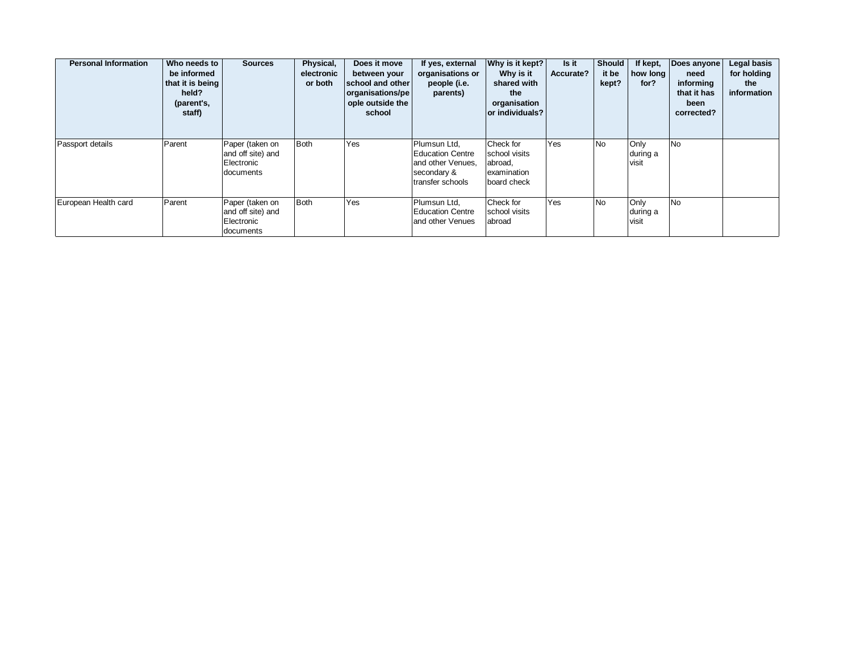| <b>Personal Information</b> | Who needs to<br>be informed<br>that it is being<br>held?<br>(parent's,<br>staff) | <b>Sources</b>                                                  | Physical,<br>electronic<br>or both | Does it move<br>between your<br>school and other<br>organisations/pe<br>ople outside the<br>school | If yes, external<br>organisations or<br>people (i.e.<br>parents)                                | Why is it kept?<br>Why is it<br>shared with<br>the<br>organisation<br>or individuals? | Is it<br>Accurate? | <b>Should</b><br>it be<br>kept? | If kept,<br>how long<br>for? | Does anyone<br>need<br>informing<br>that it has<br>been<br>corrected? | Legal basis<br>for holding<br>the<br>information |
|-----------------------------|----------------------------------------------------------------------------------|-----------------------------------------------------------------|------------------------------------|----------------------------------------------------------------------------------------------------|-------------------------------------------------------------------------------------------------|---------------------------------------------------------------------------------------|--------------------|---------------------------------|------------------------------|-----------------------------------------------------------------------|--------------------------------------------------|
| Passport details            | Parent                                                                           | Paper (taken on<br>and off site) and<br>Electronic<br>documents | <b>Both</b>                        | Yes                                                                                                | Plumsun Ltd,<br><b>Education Centre</b><br>and other Venues,<br>secondary &<br>transfer schools | Check for<br>school visits<br>abroad,<br>examination<br>board check                   | Yes                | No                              | Only<br>during a<br>visit    | <b>No</b>                                                             |                                                  |
| European Health card        | Parent                                                                           | Paper (taken on<br>and off site) and<br>Electronic<br>documents | <b>Both</b>                        | Yes                                                                                                | Plumsun Ltd.<br><b>Education Centre</b><br>and other Venues                                     | Check for<br>school visits<br>abroad                                                  | Yes                | <b>No</b>                       | Only<br>during a<br>visit    | <b>No</b>                                                             |                                                  |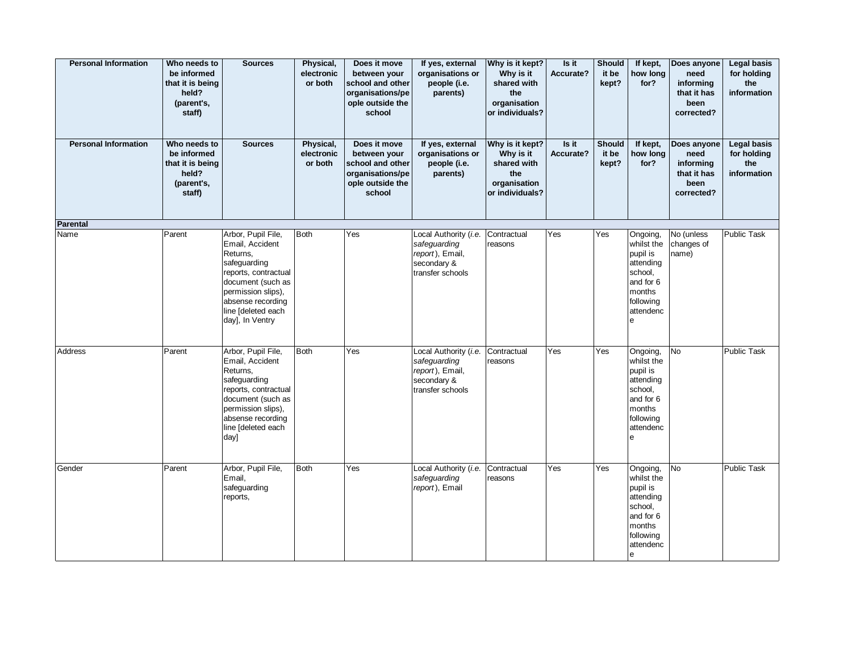| <b>Personal Information</b> | Who needs to<br>be informed<br>that it is being<br>held?<br>(parent's,<br>staff) | <b>Sources</b>                                                                                                                                                                                     | Physical,<br>electronic<br>or both | Does it move<br>between your<br>school and other<br>organisations/pe<br>ople outside the<br>school | If yes, external<br>organisations or<br>people (i.e.<br>parents)                            | Why is it kept?<br>Why is it<br>shared with<br>the<br>organisation<br>or individuals? | Is it<br>Accurate? | <b>Should</b><br>it be<br>kept? | If kept,<br>how long<br>for?                                                                                             | Does anyone<br>need<br>informing<br>that it has<br>been<br>corrected? | <b>Legal basis</b><br>for holding<br>the<br>information |
|-----------------------------|----------------------------------------------------------------------------------|----------------------------------------------------------------------------------------------------------------------------------------------------------------------------------------------------|------------------------------------|----------------------------------------------------------------------------------------------------|---------------------------------------------------------------------------------------------|---------------------------------------------------------------------------------------|--------------------|---------------------------------|--------------------------------------------------------------------------------------------------------------------------|-----------------------------------------------------------------------|---------------------------------------------------------|
| <b>Personal Information</b> | Who needs to<br>be informed<br>that it is being<br>held?<br>(parent's,<br>staff) | <b>Sources</b>                                                                                                                                                                                     | Physical,<br>electronic<br>or both | Does it move<br>between your<br>school and other<br>organisations/pe<br>ople outside the<br>school | If yes, external<br>organisations or<br>people (i.e.<br>parents)                            | Why is it kept?<br>Why is it<br>shared with<br>the<br>organisation<br>or individuals? | Is it<br>Accurate? | <b>Should</b><br>it be<br>kept? | If kept,<br>how long<br>for?                                                                                             | Does anyone<br>need<br>informing<br>that it has<br>been<br>corrected? | <b>Legal basis</b><br>for holding<br>the<br>information |
| <b>Parental</b>             |                                                                                  |                                                                                                                                                                                                    |                                    |                                                                                                    |                                                                                             |                                                                                       |                    |                                 |                                                                                                                          |                                                                       |                                                         |
| Name                        | Parent                                                                           | Arbor, Pupil File,<br>Email, Accident<br>Returns,<br>safeguarding<br>reports, contractual<br>document (such as<br>permission slips),<br>absense recording<br>line [deleted each<br>day], In Ventry | <b>Both</b>                        | Yes                                                                                                | Local Authority (i.e.<br>safeguarding<br>report), Email,<br>secondary &<br>transfer schools | Contractual<br>reasons                                                                | Yes                | Yes                             | Ongoing,<br>whilst the<br>pupil is<br>attending<br>school,<br>and for 6<br>months<br>following<br>attendenc<br>е         | No (unless<br>changes of<br>name)                                     | Public Task                                             |
| Address                     | Parent                                                                           | Arbor, Pupil File,<br>Email, Accident<br>Returns,<br>safeguarding<br>reports, contractual<br>document (such as<br>permission slips),<br>absense recording<br>line [deleted each<br>day]            | <b>Both</b>                        | Yes                                                                                                | Local Authority (i.e.<br>safeguarding<br>report), Email,<br>secondary &<br>transfer schools | Contractual<br>reasons                                                                | Yes                | Yes                             | Ongoing,<br>whilst the<br>pupil is<br>attending<br>school,<br>and for 6<br>months<br>following<br>attendenc<br>${\bf e}$ | No                                                                    | Public Task                                             |
| Gender                      | Parent                                                                           | Arbor, Pupil File,<br>Email,<br>safeguarding<br>reports,                                                                                                                                           | <b>Both</b>                        | Yes                                                                                                | Local Authority (i.e.<br>safeguarding<br>report), Email                                     | Contractual<br>reasons                                                                | Yes                | Yes                             | Ongoing,<br>whilst the<br>pupil is<br>attending<br>school,<br>and for 6<br>months<br>following<br>attendenc<br>e         | <b>No</b>                                                             | <b>Public Task</b>                                      |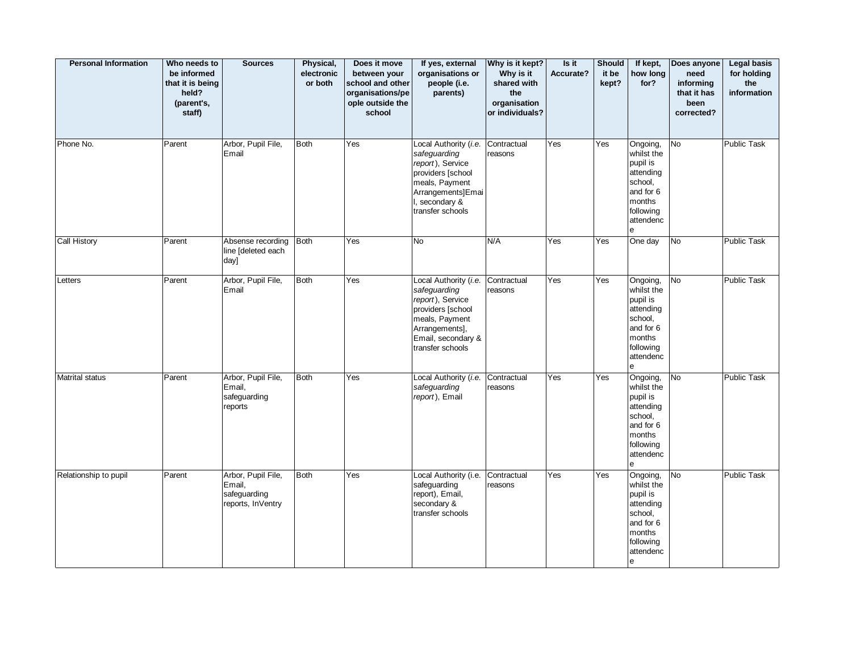| <b>Personal Information</b> | Who needs to<br>be informed<br>that it is being<br>held?<br>(parent's,<br>staff) | <b>Sources</b>                                                    | Physical,<br>electronic<br>or both | Does it move<br>between your<br>school and other<br>organisations/pe<br>ople outside the<br>school | If yes, external<br>organisations or<br>people (i.e.<br>parents)                                                                                             | Why is it kept?<br>Why is it<br>shared with<br>the<br>organisation<br>or individuals? | Is it<br>Accurate? | <b>Should</b><br>it be<br>kept? | If kept,<br>how long<br>for?                                                                                             | Does anyone<br>need<br>informing<br>that it has<br>been<br>corrected? | <b>Legal basis</b><br>for holding<br>the<br>information |
|-----------------------------|----------------------------------------------------------------------------------|-------------------------------------------------------------------|------------------------------------|----------------------------------------------------------------------------------------------------|--------------------------------------------------------------------------------------------------------------------------------------------------------------|---------------------------------------------------------------------------------------|--------------------|---------------------------------|--------------------------------------------------------------------------------------------------------------------------|-----------------------------------------------------------------------|---------------------------------------------------------|
| Phone No.                   | Parent                                                                           | Arbor, Pupil File,<br>Email                                       | <b>Both</b>                        | Yes                                                                                                | Local Authority (i.e.<br>safeguarding<br>report), Service<br>providers [school<br>meals, Payment<br>Arrangements]Emai<br>I, secondary &<br>transfer schools  | Contractual<br>reasons                                                                | Yes                | Yes                             | Ongoing,<br>whilst the<br>pupil is<br>attending<br>school,<br>and for 6<br>months<br>following<br>attendenc<br>e         | <b>No</b>                                                             | Public Task                                             |
| Call History                | Parent                                                                           | Absense recording<br>line [deleted each<br>day]                   | <b>Both</b>                        | Yes                                                                                                | No                                                                                                                                                           | N/A                                                                                   | Yes                | Yes                             | One day                                                                                                                  | No                                                                    | Public Task                                             |
| Letters                     | Parent                                                                           | Arbor, Pupil File,<br>Email                                       | <b>Both</b>                        | Yes                                                                                                | Local Authority (i.e.<br>safeguarding<br>report), Service<br>providers [school<br>meals, Payment<br>Arrangements],<br>Email, secondary &<br>transfer schools | Contractual<br>reasons                                                                | Yes                | Yes                             | Ongoing,<br>whilst the<br>pupil is<br>attending<br>school,<br>and for 6<br>months<br>following<br>attendenc<br>e         | No                                                                    | Public Task                                             |
| Matrital status             | Parent                                                                           | Arbor, Pupil File,<br>Email,<br>safeguarding<br>reports           | <b>Both</b>                        | Yes                                                                                                | Local Authority (i.e.<br>safeguarding<br>report), Email                                                                                                      | Contractual<br>reasons                                                                | Yes                | Yes                             | Ongoing,<br>whilst the<br>pupil is<br>attending<br>school,<br>and for 6<br>months<br>following<br>attendenc<br>e         | <b>No</b>                                                             | <b>Public Task</b>                                      |
| Relationship to pupil       | Parent                                                                           | Arbor, Pupil File,<br>Email,<br>safeguarding<br>reports, InVentry | <b>Both</b>                        | Yes                                                                                                | Local Authority (i.e.<br>safeguarding<br>report), Email,<br>secondary &<br>transfer schools                                                                  | Contractual<br>reasons                                                                | Yes                | Yes                             | Ongoing,<br>whilst the<br>pupil is<br>attending<br>school,<br>and for 6<br>months<br>following<br>attendenc<br>${\bf e}$ | <b>No</b>                                                             | Public Task                                             |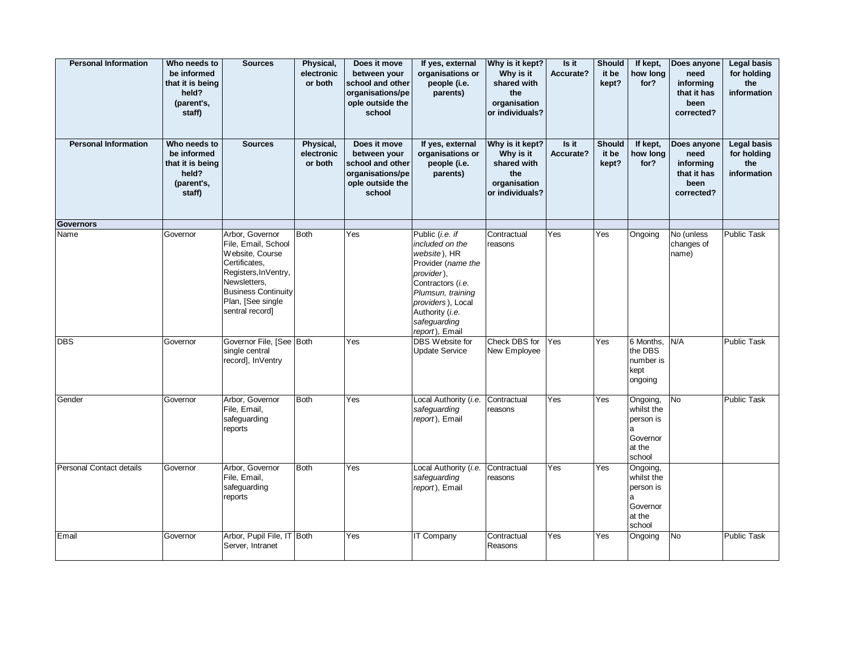| <b>Personal Information</b> | Who needs to<br>be informed<br>that it is being<br>held?<br>(parent's,<br>staff) | <b>Sources</b>                                                                                                                                                                           | Physical,<br>electronic<br>or both | Does it move<br>between your<br>school and other<br>organisations/pe<br>ople outside the<br>school | If yes, external<br>organisations or<br>people (i.e.<br>parents)                                                                                                                                           | Why is it kept?<br>Why is it<br>shared with<br>the<br>organisation<br>or individuals? | Is it<br>Accurate? | <b>Should</b><br>it be<br>kept? | If kept,<br>how long<br>for?                                             | Does anyone<br>need<br>informing<br>that it has<br>been<br>corrected? | <b>Legal basis</b><br>for holding<br>the<br>information |
|-----------------------------|----------------------------------------------------------------------------------|------------------------------------------------------------------------------------------------------------------------------------------------------------------------------------------|------------------------------------|----------------------------------------------------------------------------------------------------|------------------------------------------------------------------------------------------------------------------------------------------------------------------------------------------------------------|---------------------------------------------------------------------------------------|--------------------|---------------------------------|--------------------------------------------------------------------------|-----------------------------------------------------------------------|---------------------------------------------------------|
| <b>Personal Information</b> | Who needs to<br>be informed<br>that it is being<br>held?<br>(parent's,<br>staff) | <b>Sources</b>                                                                                                                                                                           | Physical,<br>electronic<br>or both | Does it move<br>between your<br>school and other<br>organisations/pe<br>ople outside the<br>school | If yes, external<br>organisations or<br>people (i.e.<br>parents)                                                                                                                                           | Why is it kept?<br>Why is it<br>shared with<br>the<br>organisation<br>or individuals? | Is it<br>Accurate? | <b>Should</b><br>it be<br>kept? | If kept,<br>how long<br>for?                                             | Does anyone<br>need<br>informing<br>that it has<br>been<br>corrected? | <b>Legal basis</b><br>for holding<br>the<br>information |
| <b>Governors</b>            |                                                                                  |                                                                                                                                                                                          |                                    |                                                                                                    |                                                                                                                                                                                                            |                                                                                       |                    |                                 |                                                                          |                                                                       |                                                         |
| Name                        | Governor                                                                         | Arbor, Governor<br>File, Email, School<br>Website, Course<br>Certificates,<br>Registers, InVentry,<br>Newsletters,<br><b>Business Continuity</b><br>Plan, [See single<br>sentral record] | <b>Both</b>                        | Yes                                                                                                | Public (i.e. if<br>included on the<br>website), HR<br>Provider (name the<br>provider),<br>Contractors (i.e.<br>Plumsun, training<br>providers), Local<br>Authority (i.e.<br>safeguarding<br>report), Email | Contractual<br>reasons                                                                | Yes                | Yes                             | Ongoing                                                                  | No (unless<br>changes of<br>name)                                     | <b>Public Task</b>                                      |
| <b>DBS</b>                  | Governor                                                                         | Governor File, [See Both<br>single central<br>record], InVentry                                                                                                                          |                                    | Yes                                                                                                | DBS Website for<br><b>Update Service</b>                                                                                                                                                                   | Check DBS for<br>New Employee                                                         | Yes                | Yes                             | 6 Months,<br>the DBS<br>number is<br>kept<br>ongoing                     | N/A                                                                   | Public Task                                             |
| Gender                      | Governor                                                                         | Arbor, Governor<br>File, Email,<br>safeguarding<br>reports                                                                                                                               | <b>Both</b>                        | Yes                                                                                                | Local Authority (i.e.<br>safeguarding<br>report), Email                                                                                                                                                    | Contractual<br>reasons                                                                | Yes                | Yes                             | Ongoing,<br>whilst the<br>person is<br>a<br>Governor<br>at the<br>school | <b>No</b>                                                             | <b>Public Task</b>                                      |
| Personal Contact details    | Governor                                                                         | Arbor, Governor<br>File, Email,<br>safeguarding<br>reports                                                                                                                               | <b>Both</b>                        | Yes                                                                                                | Local Authority (i.e.<br>safeguarding<br>report), Email                                                                                                                                                    | Contractual<br>reasons                                                                | Yes                | Yes                             | Ongoing,<br>whilst the<br>person is<br>a<br>Governor<br>at the<br>school |                                                                       |                                                         |
| Email                       | Governor                                                                         | Arbor, Pupil File, IT Both<br>Server, Intranet                                                                                                                                           |                                    | <b>Yes</b>                                                                                         | IT Company                                                                                                                                                                                                 | Contractual<br>Reasons                                                                | Yes                | Yes                             | Ongoing                                                                  | No                                                                    | Public Task                                             |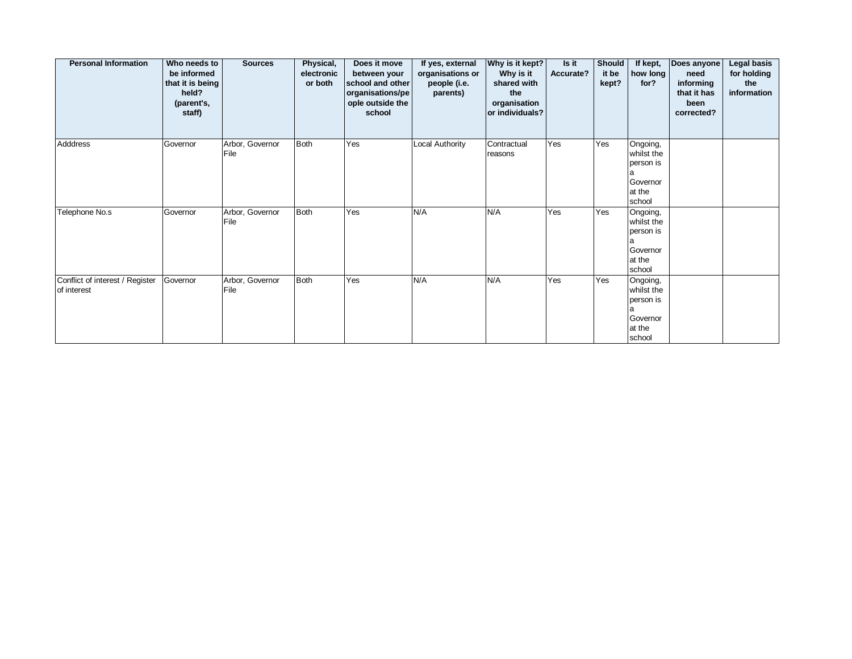| <b>Personal Information</b>                    | Who needs to<br>be informed<br>that it is being<br>held?<br>(parent's,<br>staff) | <b>Sources</b>          | Physical,<br>electronic<br>or both | Does it move<br>between your<br>school and other<br>organisations/pe<br>ople outside the<br>school | If yes, external<br>organisations or<br>people (i.e.<br>parents) | Why is it kept?<br>Why is it<br>shared with<br>the<br>organisation<br>or individuals? | Is it<br>Accurate? | Should<br>it be<br>kept? | If kept,<br>how long<br>for?                                             | Does anyone<br>need<br>informing<br>that it has<br>been<br>corrected? | <b>Legal basis</b><br>for holding<br>the<br>information |
|------------------------------------------------|----------------------------------------------------------------------------------|-------------------------|------------------------------------|----------------------------------------------------------------------------------------------------|------------------------------------------------------------------|---------------------------------------------------------------------------------------|--------------------|--------------------------|--------------------------------------------------------------------------|-----------------------------------------------------------------------|---------------------------------------------------------|
| Adddress                                       | Governor                                                                         | Arbor, Governor<br>File | Both                               | Yes                                                                                                | Local Authority                                                  | Contractual<br>reasons                                                                | Yes                | Yes                      | Ongoing,<br>whilst the<br>person is<br>a<br>Governor<br>at the<br>school |                                                                       |                                                         |
| Telephone No.s                                 | Governor                                                                         | Arbor, Governor<br>File | Both                               | Yes                                                                                                | N/A                                                              | N/A                                                                                   | Yes                | Yes                      | Ongoing,<br>whilst the<br>person is<br>a<br>Governor<br>at the<br>school |                                                                       |                                                         |
| Conflict of interest / Register<br>of interest | Governor                                                                         | Arbor, Governor<br>File | Both                               | Yes                                                                                                | N/A                                                              | N/A                                                                                   | Yes                | Yes                      | Ongoing,<br>whilst the<br>person is<br>a<br>Governor<br>at the<br>school |                                                                       |                                                         |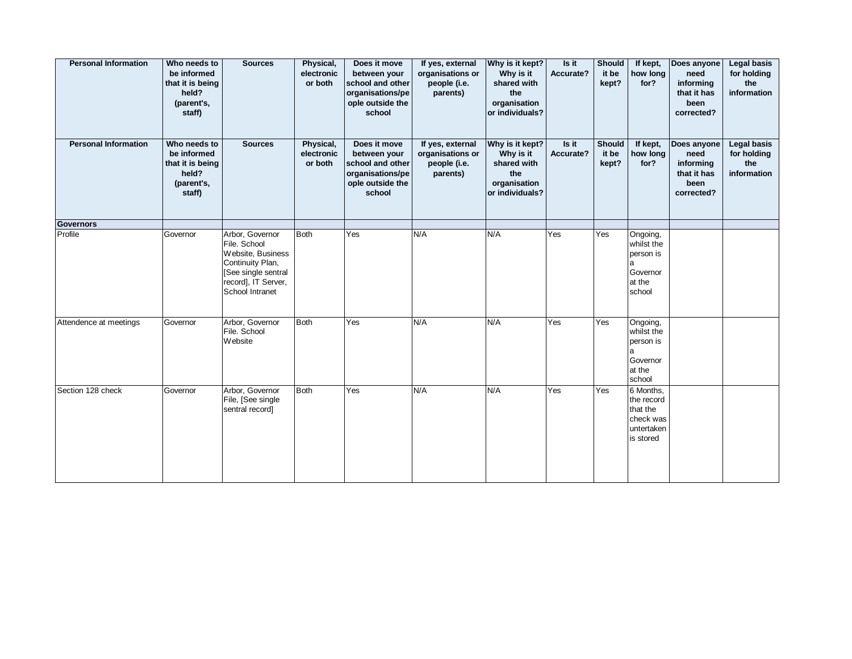| <b>Personal Information</b> | Who needs to<br>be informed<br>that it is being<br>held?<br>(parent's,<br>staff) | <b>Sources</b>                                                                                                                            | Physical,<br>electronic<br>or both | Does it move<br>between your<br>school and other<br>organisations/pe<br>ople outside the<br>school | If yes, external<br>organisations or<br>people (i.e.<br>parents) | Why is it kept?<br>Why is it<br>shared with<br>the<br>organisation<br>or individuals? | Is it<br>Accurate? | <b>Should</b><br>it be<br>kept? | If kept,<br>how long<br>for?                                                | Does anyone<br>need<br>informing<br>that it has<br>been<br>corrected? | <b>Legal basis</b><br>for holding<br>the<br>information |
|-----------------------------|----------------------------------------------------------------------------------|-------------------------------------------------------------------------------------------------------------------------------------------|------------------------------------|----------------------------------------------------------------------------------------------------|------------------------------------------------------------------|---------------------------------------------------------------------------------------|--------------------|---------------------------------|-----------------------------------------------------------------------------|-----------------------------------------------------------------------|---------------------------------------------------------|
| <b>Personal Information</b> | Who needs to<br>be informed<br>that it is being<br>held?<br>(parent's,<br>staff) | <b>Sources</b>                                                                                                                            | Physical,<br>electronic<br>or both | Does it move<br>between your<br>school and other<br>organisations/pe<br>ople outside the<br>school | If yes, external<br>organisations or<br>people (i.e.<br>parents) | Why is it kept?<br>Why is it<br>shared with<br>the<br>organisation<br>or individuals? | Is it<br>Accurate? | Should<br>it be<br>kept?        | If kept,<br>how long<br>for?                                                | Does anyone<br>need<br>informing<br>that it has<br>been<br>corrected? | <b>Legal basis</b><br>for holding<br>the<br>information |
| <b>Governors</b>            |                                                                                  |                                                                                                                                           |                                    |                                                                                                    |                                                                  |                                                                                       |                    |                                 |                                                                             |                                                                       |                                                         |
| Profile                     | Governor                                                                         | Arbor, Governor<br>File. School<br>Website, Business<br>Continuity Plan,<br>[See single sentral<br>record], IT Server,<br>School Intranet | <b>Both</b>                        | Yes                                                                                                | N/A                                                              | N/A                                                                                   | Yes                | Yes                             | Ongoing,<br>whilst the<br>person is<br>a<br>Governor<br>at the<br>school    |                                                                       |                                                         |
| Attendence at meetings      | Governor                                                                         | Arbor, Governor<br>File. School<br>Website                                                                                                | <b>Both</b>                        | Yes                                                                                                | N/A                                                              | N/A                                                                                   | Yes                | Yes                             | Ongoing,<br>whilst the<br>person is<br>a<br>Governor<br>at the<br>school    |                                                                       |                                                         |
| Section 128 check           | Governor                                                                         | Arbor, Governor<br>File, [See single<br>sentral record]                                                                                   | <b>Both</b>                        | Yes                                                                                                | N/A                                                              | N/A                                                                                   | Yes                | Yes                             | 6 Months,<br>the record<br>that the<br>check was<br>untertaken<br>is stored |                                                                       |                                                         |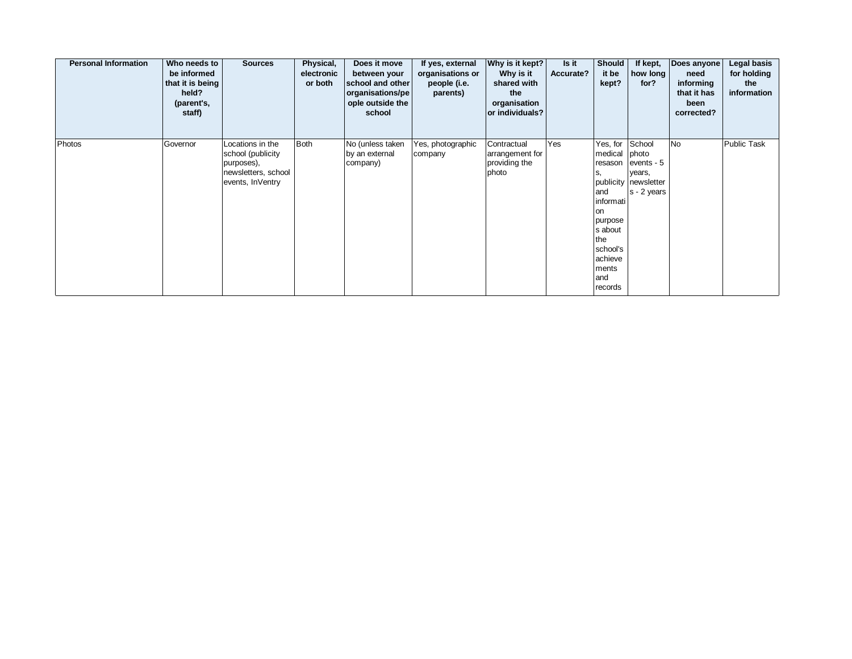| <b>Personal Information</b> | Who needs to<br>be informed<br>that it is being<br>held?<br>(parent's,<br>staff) | <b>Sources</b>                                                                                 | Physical,<br>electronic<br>or both | Does it move<br>between your<br>school and other<br>organisations/pe<br>ople outside the<br>school | If yes, external<br>organisations or<br>people (i.e.<br>parents) | Why is it kept?<br>Why is it<br>shared with<br>the<br>organisation<br>or individuals? | Is it<br>Accurate? | <b>Should</b><br>it be<br>kept?                                                                                                               | If kept,<br>how long<br>for?                                                     | Does anyone<br>need<br>informing<br>that it has<br>been<br>corrected? | Legal basis<br>for holding<br>the<br>information |
|-----------------------------|----------------------------------------------------------------------------------|------------------------------------------------------------------------------------------------|------------------------------------|----------------------------------------------------------------------------------------------------|------------------------------------------------------------------|---------------------------------------------------------------------------------------|--------------------|-----------------------------------------------------------------------------------------------------------------------------------------------|----------------------------------------------------------------------------------|-----------------------------------------------------------------------|--------------------------------------------------|
| Photos                      | Governor                                                                         | Locations in the<br>school (publicity<br>purposes),<br>newsletters, school<br>events, InVentry | <b>Both</b>                        | No (unless taken<br>by an external<br>company)                                                     | Yes, photographic<br>company                                     | Contractual<br>arrangement for<br>providing the<br>photo                              | Yes                | Yes, for<br>medical<br>resason<br>s.<br>and<br>informati<br>on<br>purpose<br>s about<br>the<br>school's<br>achieve<br>ments<br>and<br>records | School<br>photo<br>events - 5<br>years,<br>publicity newsletter<br>$s - 2$ years | <b>No</b>                                                             | Public Task                                      |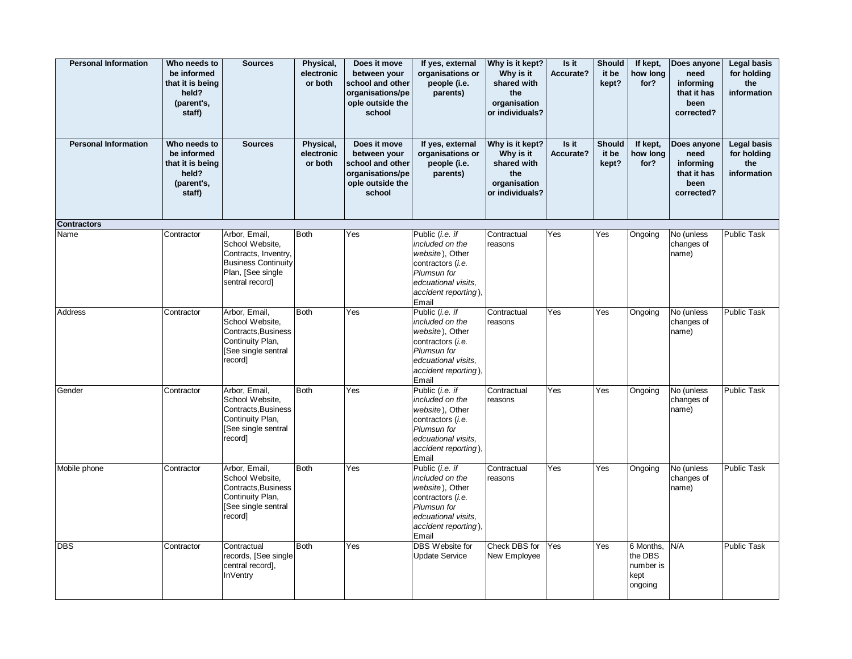| <b>Personal Information</b> | Who needs to<br>be informed<br>that it is being<br>held?<br>(parent's,<br>staff) | <b>Sources</b>                                                                                                                 | Physical,<br>electronic<br>or both | Does it move<br>between your<br>school and other<br>organisations/pe<br>ople outside the<br>school | If yes, external<br>organisations or<br>people (i.e.<br>parents)                                                                                  | Why is it kept?<br>Why is it<br>shared with<br>the<br>organisation<br>or individuals? | Is it<br>Accurate? | <b>Should</b><br>it be<br>kept? | If kept,<br>how long<br>for?                         | Does anyone<br>need<br>informing<br>that it has<br>been<br>corrected? | <b>Legal basis</b><br>for holding<br>the<br>information |
|-----------------------------|----------------------------------------------------------------------------------|--------------------------------------------------------------------------------------------------------------------------------|------------------------------------|----------------------------------------------------------------------------------------------------|---------------------------------------------------------------------------------------------------------------------------------------------------|---------------------------------------------------------------------------------------|--------------------|---------------------------------|------------------------------------------------------|-----------------------------------------------------------------------|---------------------------------------------------------|
| <b>Personal Information</b> | Who needs to<br>be informed<br>that it is being<br>held?<br>(parent's,<br>staff) | <b>Sources</b>                                                                                                                 | Physical,<br>electronic<br>or both | Does it move<br>between your<br>school and other<br>organisations/pe<br>ople outside the<br>school | If yes, external<br>organisations or<br>people (i.e.<br>parents)                                                                                  | Why is it kept?<br>Why is it<br>shared with<br>the<br>organisation<br>or individuals? | Is it<br>Accurate? | <b>Should</b><br>it be<br>kept? | If kept,<br>how long<br>for?                         | Does anyone<br>need<br>informing<br>that it has<br>been<br>corrected? | <b>Legal basis</b><br>for holding<br>the<br>information |
| <b>Contractors</b>          |                                                                                  |                                                                                                                                |                                    |                                                                                                    |                                                                                                                                                   |                                                                                       |                    |                                 |                                                      |                                                                       |                                                         |
| Name                        | Contractor                                                                       | Arbor, Email,<br>School Website,<br>Contracts, Inventry,<br><b>Business Continuity</b><br>Plan, [See single<br>sentral record] | <b>Both</b>                        | Yes                                                                                                | Public (i.e. if<br>included on the<br>website), Other<br>contractors (i.e.<br>Plumsun for<br>edcuational visits,<br>accident reporting),<br>Email | Contractual<br>reasons                                                                | Yes                | Yes                             | Ongoing                                              | No (unless<br>changes of<br>name)                                     | <b>Public Task</b>                                      |
| Address                     | Contractor                                                                       | Arbor, Email,<br>School Website,<br>Contracts, Business<br>Continuity Plan,<br>[See single sentral<br>record]                  | <b>Both</b>                        | Yes                                                                                                | Public (i.e. if<br>included on the<br>website), Other<br>contractors (i.e.<br>Plumsun for<br>edcuational visits.<br>accident reporting),<br>Email | Contractual<br>reasons                                                                | Yes                | Yes                             | Ongoing                                              | No (unless<br>changes of<br>name)                                     | <b>Public Task</b>                                      |
| Gender                      | Contractor                                                                       | Arbor, Email,<br>School Website,<br>Contracts, Business<br>Continuity Plan,<br>[See single sentral<br>record]                  | <b>Both</b>                        | Yes                                                                                                | Public (i.e. if<br>included on the<br>website), Other<br>contractors (i.e.<br>Plumsun for<br>edcuational visits,<br>accident reporting),<br>Email | Contractual<br>reasons                                                                | Yes                | Yes                             | Ongoing                                              | No (unless<br>changes of<br>name)                                     | <b>Public Task</b>                                      |
| Mobile phone                | Contractor                                                                       | Arbor, Email,<br>School Website,<br>Contracts, Business<br>Continuity Plan,<br>[See single sentral<br>record]                  | <b>Both</b>                        | Yes                                                                                                | Public (i.e. if<br>included on the<br>website), Other<br>contractors (i.e.<br>Plumsun for<br>edcuational visits,<br>accident reporting),<br>Email | Contractual<br>reasons                                                                | Yes                | Yes                             | Ongoing                                              | No (unless<br>changes of<br>name)                                     | <b>Public Task</b>                                      |
| <b>DBS</b>                  | Contractor                                                                       | Contractual<br>records, [See single]<br>central record],<br><b>InVentry</b>                                                    | <b>Both</b>                        | Yes                                                                                                | DBS Website for<br><b>Update Service</b>                                                                                                          | Check DBS for<br>New Employee                                                         | Yes                | Yes                             | 6 Months,<br>the DBS<br>number is<br>kept<br>ongoing | N/A                                                                   | <b>Public Task</b>                                      |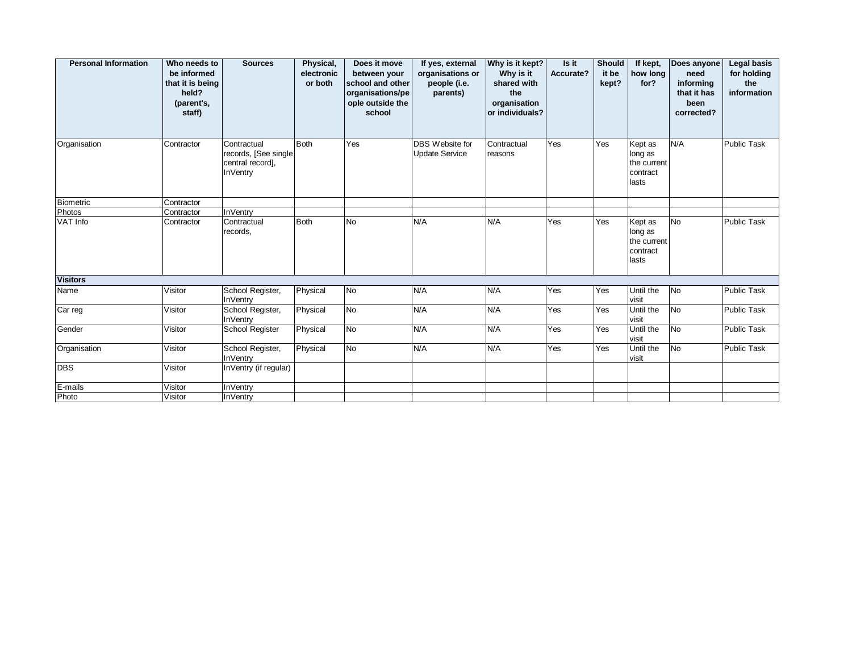| <b>Personal Information</b> | Who needs to<br>be informed<br>that it is being<br>held?<br>(parent's,<br>staff) | <b>Sources</b>                                                       | Physical,<br>electronic<br>or both | Does it move<br>between your<br>school and other<br>organisations/pe<br>ople outside the<br>school | If yes, external<br>organisations or<br>people (i.e.<br>parents) | Why is it kept?<br>Why is it<br>shared with<br>the<br>organisation<br>or individuals? | Is it<br>Accurate? | <b>Should</b><br>it be<br>kept? | If kept,<br>how long<br>for?                           | Does anyone<br>need<br>informing<br>that it has<br>been<br>corrected? | <b>Legal basis</b><br>for holding<br>the<br>information |
|-----------------------------|----------------------------------------------------------------------------------|----------------------------------------------------------------------|------------------------------------|----------------------------------------------------------------------------------------------------|------------------------------------------------------------------|---------------------------------------------------------------------------------------|--------------------|---------------------------------|--------------------------------------------------------|-----------------------------------------------------------------------|---------------------------------------------------------|
| Organisation                | Contractor                                                                       | Contractual<br>records, [See single]<br>central record],<br>InVentry | Both                               | Yes                                                                                                | DBS Website for<br><b>Update Service</b>                         | Contractual<br>reasons                                                                | Yes                | Yes                             | Kept as<br>long as<br>the current<br>contract<br>lasts | N/A                                                                   | Public Task                                             |
| <b>Biometric</b>            | Contractor                                                                       |                                                                      |                                    |                                                                                                    |                                                                  |                                                                                       |                    |                                 |                                                        |                                                                       |                                                         |
| Photos                      | Contractor                                                                       | <b>InVentry</b>                                                      |                                    |                                                                                                    |                                                                  |                                                                                       |                    |                                 |                                                        |                                                                       |                                                         |
| VAT Info                    | Contractor                                                                       | Contractual<br>records,                                              | Both                               | <b>No</b>                                                                                          | N/A                                                              | N/A                                                                                   | Yes                | Yes                             | Kept as<br>long as<br>the current<br>contract<br>lasts | <b>No</b>                                                             | <b>Public Task</b>                                      |
| <b>Visitors</b>             |                                                                                  |                                                                      |                                    |                                                                                                    |                                                                  |                                                                                       |                    |                                 |                                                        |                                                                       |                                                         |
| Name                        | Visitor                                                                          | School Register,<br><b>InVentry</b>                                  | Physical                           | No                                                                                                 | N/A                                                              | N/A                                                                                   | Yes                | Yes                             | Until the<br>visit                                     | No                                                                    | <b>Public Task</b>                                      |
| Car reg                     | Visitor                                                                          | School Register,<br><b>InVentry</b>                                  | Physical                           | <b>No</b>                                                                                          | N/A                                                              | N/A                                                                                   | Yes                | Yes                             | Until the<br>visit                                     | <b>No</b>                                                             | <b>Public Task</b>                                      |
| Gender                      | Visitor                                                                          | <b>School Register</b>                                               | Physical                           | No                                                                                                 | N/A                                                              | N/A                                                                                   | Yes                | Yes                             | Until the<br>visit                                     | <b>No</b>                                                             | <b>Public Task</b>                                      |
| Organisation                | Visitor                                                                          | School Register,<br><b>InVentry</b>                                  | Physical                           | No                                                                                                 | N/A                                                              | N/A                                                                                   | Yes                | Yes                             | Until the<br>visit                                     | No                                                                    | <b>Public Task</b>                                      |
| <b>DBS</b>                  | Visitor                                                                          | InVentry (if regular)                                                |                                    |                                                                                                    |                                                                  |                                                                                       |                    |                                 |                                                        |                                                                       |                                                         |
| E-mails                     | Visitor                                                                          | <b>InVentry</b>                                                      |                                    |                                                                                                    |                                                                  |                                                                                       |                    |                                 |                                                        |                                                                       |                                                         |
| Photo                       | Visitor                                                                          | <b>InVentry</b>                                                      |                                    |                                                                                                    |                                                                  |                                                                                       |                    |                                 |                                                        |                                                                       |                                                         |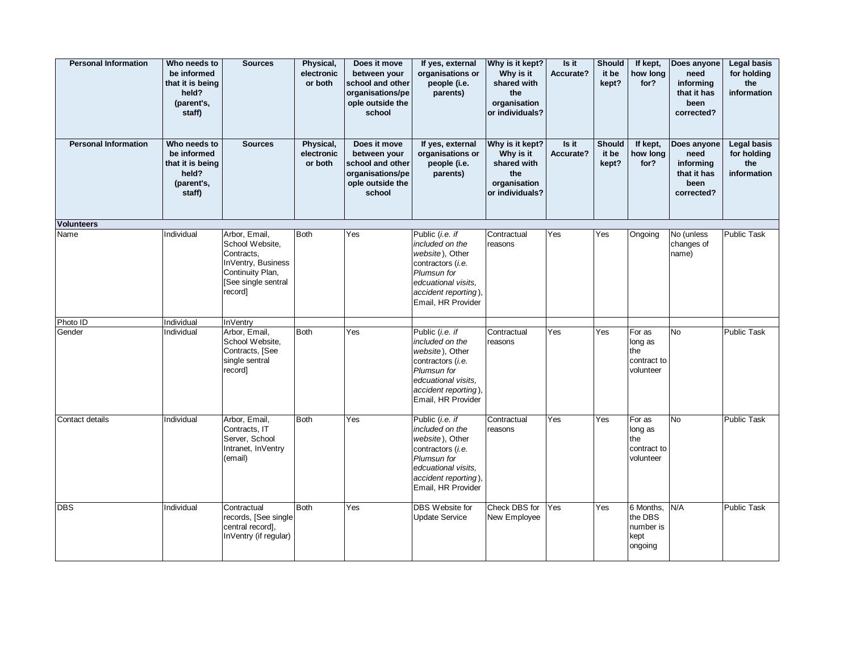| <b>Personal Information</b> | Who needs to<br>be informed<br>that it is being<br>held?<br>(parent's,<br>staff) | <b>Sources</b>                                                                                                             | Physical,<br>electronic<br>or both | Does it move<br>between your<br>school and other<br>organisations/pe<br>ople outside the<br>school | If yes, external<br>organisations or<br>people (i.e.<br>parents)                                                                                               | Why is it kept?<br>Why is it<br>shared with<br>the<br>organisation<br>or individuals? | Is it<br>Accurate? | <b>Should</b><br>it be<br>kept? | If kept,<br>how long<br>for?                         | Does anyone<br>need<br>informing<br>that it has<br>been<br>corrected? | <b>Legal basis</b><br>for holding<br>the<br>information |
|-----------------------------|----------------------------------------------------------------------------------|----------------------------------------------------------------------------------------------------------------------------|------------------------------------|----------------------------------------------------------------------------------------------------|----------------------------------------------------------------------------------------------------------------------------------------------------------------|---------------------------------------------------------------------------------------|--------------------|---------------------------------|------------------------------------------------------|-----------------------------------------------------------------------|---------------------------------------------------------|
| <b>Personal Information</b> | Who needs to<br>be informed<br>that it is being<br>held?<br>(parent's,<br>staff) | <b>Sources</b>                                                                                                             | Physical,<br>electronic<br>or both | Does it move<br>between your<br>school and other<br>organisations/pe<br>ople outside the<br>school | If yes, external<br>organisations or<br>people (i.e.<br>parents)                                                                                               | Why is it kept?<br>Why is it<br>shared with<br>the<br>organisation<br>or individuals? | Is it<br>Accurate? | <b>Should</b><br>it be<br>kept? | If kept,<br>how long<br>for?                         | Does anyone<br>need<br>informing<br>that it has<br>been<br>corrected? | <b>Legal basis</b><br>for holding<br>the<br>information |
| Volunteers                  |                                                                                  |                                                                                                                            |                                    |                                                                                                    |                                                                                                                                                                |                                                                                       |                    |                                 |                                                      |                                                                       |                                                         |
| Name                        | Individual                                                                       | Arbor, Email,<br>School Website,<br>Contracts,<br>InVentry, Business<br>Continuity Plan,<br>[See single sentral<br>record] | <b>Both</b>                        | Yes                                                                                                | Public (i.e. if<br>included on the<br>website), Other<br>contractors (i.e.<br>Plumsun for<br>edcuational visits.<br>accident reporting),<br>Email, HR Provider | Contractual<br>reasons                                                                | Yes                | Yes                             | Ongoing                                              | $\overline{No}$ (unless<br>changes of<br>name)                        | <b>Public Task</b>                                      |
| Photo ID                    | Individual                                                                       | <b>InVentry</b>                                                                                                            |                                    |                                                                                                    |                                                                                                                                                                |                                                                                       |                    |                                 |                                                      |                                                                       |                                                         |
| Gender                      | Individual                                                                       | Arbor, Email,<br>School Website,<br>Contracts, [See<br>single sentral<br>record]                                           | <b>Both</b>                        | Yes                                                                                                | Public (i.e. if<br>included on the<br>website), Other<br>contractors (i.e.<br>Plumsun for<br>edcuational visits.<br>accident reporting),<br>Email, HR Provider | Contractual<br>reasons                                                                | Yes                | Yes                             | For as<br>long as<br>the<br>contract to<br>volunteer | <b>No</b>                                                             | Public Task                                             |
| Contact details             | Individual                                                                       | Arbor, Email,<br>Contracts, IT<br>Server, School<br>Intranet, InVentry<br>(email)                                          | <b>Both</b>                        | Yes                                                                                                | Public (i.e. if<br>included on the<br>website), Other<br>contractors (i.e.<br>Plumsun for<br>edcuational visits.<br>accident reporting),<br>Email, HR Provider | Contractual<br>reasons                                                                | Yes                | Yes                             | For as<br>long as<br>the<br>contract to<br>volunteer | <b>No</b>                                                             | Public Task                                             |
| <b>DBS</b>                  | Individual                                                                       | Contractual<br>records, [See single]<br>central record].<br>InVentry (if regular)                                          | <b>Both</b>                        | Yes                                                                                                | DBS Website for<br><b>Update Service</b>                                                                                                                       | Check DBS for<br>New Employee                                                         | Yes                | Yes                             | 6 Months,<br>the DBS<br>number is<br>kept<br>ongoing | N/A                                                                   | <b>Public Task</b>                                      |